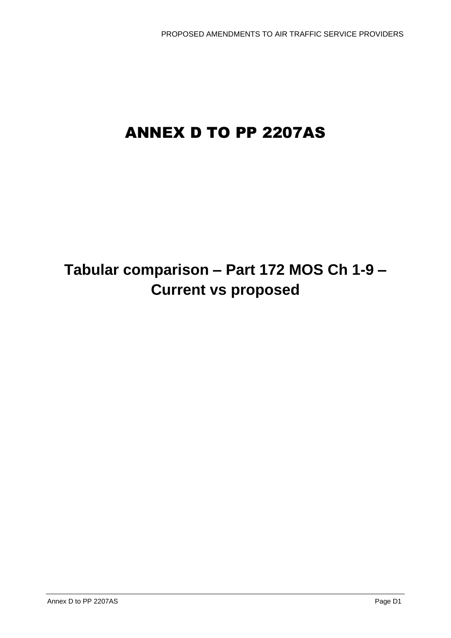# ANNEX D TO PP 2207AS

# **Tabular comparison – Part 172 MOS Ch 1-9 – Current vs proposed**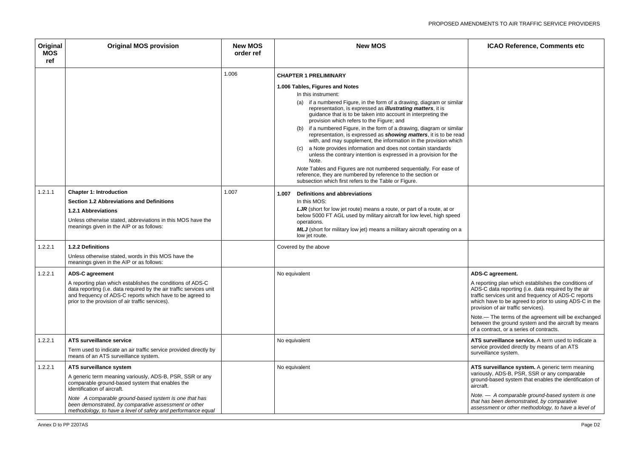### **S-C agreement.**

eporting plan which establishes the conditions of S-C data reporting (i.e. data required by the air fic services unit and frequency of ADS-C reports ch have to be agreed to prior to using ADS-C in the vision of air traffic services).

e.— The terms of the agreement will be exchanged ween the ground system and the aircraft by means contract, or a series of contracts.

**surveillance service.** A term used to indicate a vice provided directly by means of an ATS veillance system.

Surveillance system. A generic term meaning variously, ADS-B, PSR, SSR or any comparable ground-based system that enables the identification of raft.

| Original<br><b>MOS</b><br>ref | <b>Original MOS provision</b>                                                                                                                                                                                                                                                                                                                           | <b>New MOS</b><br>order ref | <b>New MOS</b>                                                                                                                                                                                                                                                                                                                                                                                                                                                                                                                                                                                                                                                                                                                                                                                                                                                                                                                          |                                                                                    |
|-------------------------------|---------------------------------------------------------------------------------------------------------------------------------------------------------------------------------------------------------------------------------------------------------------------------------------------------------------------------------------------------------|-----------------------------|-----------------------------------------------------------------------------------------------------------------------------------------------------------------------------------------------------------------------------------------------------------------------------------------------------------------------------------------------------------------------------------------------------------------------------------------------------------------------------------------------------------------------------------------------------------------------------------------------------------------------------------------------------------------------------------------------------------------------------------------------------------------------------------------------------------------------------------------------------------------------------------------------------------------------------------------|------------------------------------------------------------------------------------|
|                               |                                                                                                                                                                                                                                                                                                                                                         | 1.006                       | <b>CHAPTER 1 PRELIMINARY</b><br>1.006 Tables, Figures and Notes<br>In this instrument:<br>if a numbered Figure, in the form of a drawing, diagram or similar<br>(a)<br>representation, is expressed as <i>illustrating matters</i> , it is<br>guidance that is to be taken into account in interpreting the<br>provision which refers to the Figure; and<br>if a numbered Figure, in the form of a drawing, diagram or similar<br>(b)<br>representation, is expressed as <b>showing matters</b> , it is to be read<br>with, and may supplement, the information in the provision which<br>a Note provides information and does not contain standards<br>(C)<br>unless the contrary intention is expressed in a provision for the<br>Note.<br>Note Tables and Figures are not numbered sequentially. For ease of<br>reference, they are numbered by reference to the section or<br>subsection which first refers to the Table or Figure. |                                                                                    |
| 1.2.1.1                       | <b>Chapter 1: Introduction</b><br><b>Section 1.2 Abbreviations and Definitions</b><br><b>1.2.1 Abbreviations</b><br>Unless otherwise stated, abbreviations in this MOS have the<br>meanings given in the AIP or as follows:                                                                                                                             | 1.007                       | Definitions and abbreviations<br>1.007<br>In this MOS:<br>LJR (short for low jet route) means a route, or part of a route, at or<br>below 5000 FT AGL used by military aircraft for low level, high speed<br>operations.<br>MLJ (short for military low jet) means a military aircraft operating on a<br>low jet route.                                                                                                                                                                                                                                                                                                                                                                                                                                                                                                                                                                                                                 |                                                                                    |
| 1.2.2.1                       | 1.2.2 Definitions<br>Unless otherwise stated, words in this MOS have the<br>meanings given in the AIP or as follows:                                                                                                                                                                                                                                    |                             | Covered by the above                                                                                                                                                                                                                                                                                                                                                                                                                                                                                                                                                                                                                                                                                                                                                                                                                                                                                                                    |                                                                                    |
| 1.2.2.1                       | <b>ADS-C agreement</b><br>A reporting plan which establishes the conditions of ADS-C<br>data reporting (i.e. data required by the air traffic services unit<br>and frequency of ADS-C reports which have to be agreed to<br>prior to the provision of air traffic services).                                                                            |                             | No equivalent                                                                                                                                                                                                                                                                                                                                                                                                                                                                                                                                                                                                                                                                                                                                                                                                                                                                                                                           | <b>ADS</b><br>A re<br><b>ADS</b><br>traffi<br>whic<br>prov<br>Note<br>betw<br>of a |
| 1.2.2.1                       | ATS surveillance service<br>Term used to indicate an air traffic service provided directly by<br>means of an ATS surveillance system.                                                                                                                                                                                                                   |                             | No equivalent                                                                                                                                                                                                                                                                                                                                                                                                                                                                                                                                                                                                                                                                                                                                                                                                                                                                                                                           | <b>ATS</b><br>serv<br>surv                                                         |
| 1.2.2.1                       | ATS surveillance system<br>A generic term meaning variously, ADS-B, PSR, SSR or any<br>comparable ground-based system that enables the<br>identification of aircraft.<br>Note A comparable ground-based system is one that has<br>been demonstrated, by comparative assessment or other<br>methodology, to have a level of safety and performance equal |                             | No equivalent                                                                                                                                                                                                                                                                                                                                                                                                                                                                                                                                                                                                                                                                                                                                                                                                                                                                                                                           | <b>ATS</b><br>vario<br>grou<br>aircr<br>Note<br>that<br>asse                       |

*Note. — A comparable ground-based system is one that has been demonstrated, by comparative assessment or other methodology, to have a level of*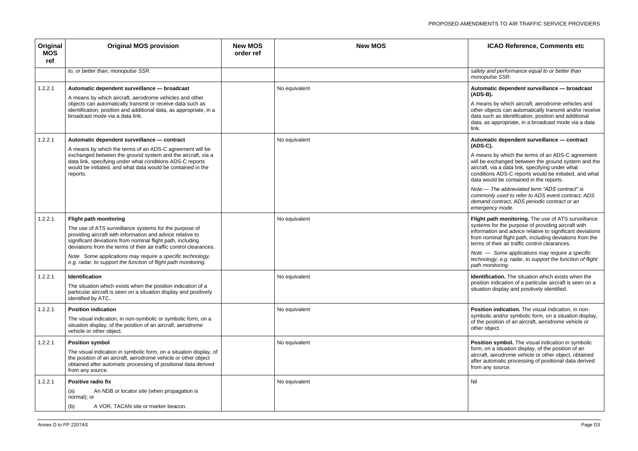*t* and performance equal to or better than *monopulse SSR.*

### matic dependent surveillance — broadcast **(ADS-B).**

ans by which aircraft, aerodrome vehicles and objects can automatically transmit and/or receive such as identification, position and additional as appropriate, in a broadcast mode via a data

### **Matic dependent surveillance — contract (ADS-C).**

ans by which the terms of an ADS-C agreement e exchanged between the ground system and the  $a$ ft, via a data link, specifying under what tions ADS-C reports would be initiated, and what would be contained in the reports.

 $-$  Some applications may require a specific *technology, e.g. radar, to support the function of flight path monitoring.*

**Ification.** The situation which exists when the on indication of a particular aircraft is seen on a ion display and positively identified.

ion indication. The visual indication, in nonolic and/or symbolic form, on a situation display, position of an aircraft, aerodrome vehicle or object.

ion symbol. The visual indication in symbolic on a situation display, of the position of an ft, aerodrome vehicle or other object, obtained automatic processing of positional data derived any source.

*Note.— The abbreviated term "ADS contract" is commonly used to refer to ADS event contract, ADS demand contract, ADS periodic contract or an emergency mode.*

t path monitoring. The use of ATS surveillance ms for the purpose of providing aircraft with ination and advice relative to significant deviations nominal flight path, including deviations from the of their air traffic control clearances.

| Original<br><b>MOS</b><br>ref | <b>Original MOS provision</b>                                                                                                                                                                                                                                                                                                                                                                                            | <b>New MOS</b><br>order ref | <b>New MOS</b> |                                                                                                   |
|-------------------------------|--------------------------------------------------------------------------------------------------------------------------------------------------------------------------------------------------------------------------------------------------------------------------------------------------------------------------------------------------------------------------------------------------------------------------|-----------------------------|----------------|---------------------------------------------------------------------------------------------------|
|                               | to, or better than, monopulse SSR.                                                                                                                                                                                                                                                                                                                                                                                       |                             |                | safety<br>mono                                                                                    |
| 1.2.2.1                       | Automatic dependent surveillance - broadcast<br>A means by which aircraft, aerodrome vehicles and other<br>objects can automatically transmit or receive data such as<br>identification, position and additional data, as appropriate, in a<br>broadcast mode via a data link.                                                                                                                                           |                             | No equivalent  | Autor<br>(ADS<br>A mea<br>other<br>data s<br>data,<br>link.                                       |
| 1.2.2.1                       | Automatic dependent surveillance - contract<br>A means by which the terms of an ADS-C agreement will be<br>exchanged between the ground system and the aircraft, via a<br>data link, specifying under what conditions ADS-C reports<br>would be initiated, and what data would be contained in the<br>reports.                                                                                                           |                             | No equivalent  | Autor<br>(ADS<br>A mea<br>will be<br>aircra<br>condit<br>data v<br>Note.<br>comm<br>dema<br>emerg |
| 1.2.2.1                       | <b>Flight path monitoring</b><br>The use of ATS surveillance systems for the purpose of<br>providing aircraft with information and advice relative to<br>significant deviations from nominal flight path, including<br>deviations from the terms of their air traffic control clearances.<br>Note Some applications may require a specific technology,<br>e.g. radar, to support the function of flight path monitoring. |                             | No equivalent  | Flight<br>syster<br>inform<br>from r<br>terms<br>Note.<br>techn<br>path r                         |
| 1.2.2.1                       | Identification<br>The situation which exists when the position indication of a<br>particular aircraft is seen on a situation display and positively<br>identified by ATC.                                                                                                                                                                                                                                                |                             | No equivalent  | Identi<br>positio<br>situati                                                                      |
| 1.2.2.1                       | <b>Position indication</b><br>The visual indication, in non-symbolic or symbolic form, on a<br>situation display, of the position of an aircraft, aerodrome<br>vehicle or other object.                                                                                                                                                                                                                                  |                             | No equivalent  | Positi<br>symbo<br>of the<br>other                                                                |
| 1.2.2.1                       | <b>Position symbol</b><br>The visual indication in symbolic form, on a situation display, of<br>the position of an aircraft, aerodrome vehicle or other object<br>obtained after automatic processing of positional data derived<br>from any source.                                                                                                                                                                     |                             | No equivalent  | Positi<br>form,<br>aircra<br>after a<br>from a                                                    |
| 1.2.2.1                       | Positive radio fix<br>An NDB or locator site (when propagation is<br>(a)<br>normal); or<br>A VOR, TACAN site or marker beacon.<br>(b)                                                                                                                                                                                                                                                                                    |                             | No equivalent  | Nil                                                                                               |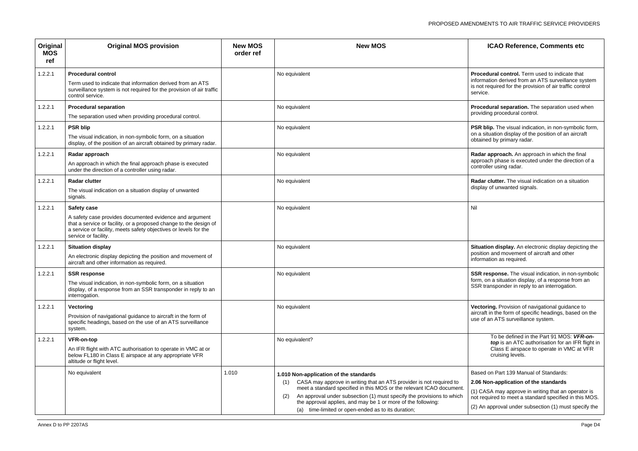**Example 20 equival control.** Term used to indicate that mation derived from an ATS surveillance system required for the provision of air traffic control ce.

edural separation. The separation used when ding procedural control.

blip. The visual indication, in non-symbolic form, situation display of the position of an aircraft ned by primary radar.

ar approach. An approach in which the final pach phase is executed under the direction of a oller using radar.

ar clutter. The visual indication on a situation lay of unwanted signals.

ation display. An electronic display depicting the tion and movement of aircraft and other mation as required.

response. The visual indication, in non-symbolic on a situation display, of a response from an transponder in reply to an interrogation.

oring. Provision of navigational guidance to aft in the form of specific headings, based on the of an ATS surveillance system.

| Original<br><b>MOS</b><br>ref | <b>Original MOS provision</b>                                                                                                                                                                                                           | <b>New MOS</b><br>order ref | <b>New MOS</b>                                                                                                                                                                                                                                                                                                                                                                                        |                                                      |
|-------------------------------|-----------------------------------------------------------------------------------------------------------------------------------------------------------------------------------------------------------------------------------------|-----------------------------|-------------------------------------------------------------------------------------------------------------------------------------------------------------------------------------------------------------------------------------------------------------------------------------------------------------------------------------------------------------------------------------------------------|------------------------------------------------------|
| 1.2.2.1                       | <b>Procedural control</b><br>Term used to indicate that information derived from an ATS<br>surveillance system is not required for the provision of air traffic<br>control service.                                                     |                             | No equivalent                                                                                                                                                                                                                                                                                                                                                                                         | Proce<br>inforn<br>is not<br>servic                  |
| 1.2.2.1                       | <b>Procedural separation</b><br>The separation used when providing procedural control.                                                                                                                                                  |                             | No equivalent                                                                                                                                                                                                                                                                                                                                                                                         | Proce<br>provio                                      |
| 1.2.2.1                       | <b>PSR blip</b><br>The visual indication, in non-symbolic form, on a situation<br>display, of the position of an aircraft obtained by primary radar.                                                                                    |                             | No equivalent                                                                                                                                                                                                                                                                                                                                                                                         | <b>PSR</b><br>on a s<br>obtair                       |
| 1.2.2.1                       | Radar approach<br>An approach in which the final approach phase is executed<br>under the direction of a controller using radar.                                                                                                         |                             | No equivalent                                                                                                                                                                                                                                                                                                                                                                                         | Rada<br>appro<br>contro                              |
| 1.2.2.1                       | <b>Radar clutter</b><br>The visual indication on a situation display of unwanted<br>signals.                                                                                                                                            |                             | No equivalent                                                                                                                                                                                                                                                                                                                                                                                         | Rada<br>displa                                       |
| 1.2.2.1                       | Safety case<br>A safety case provides documented evidence and argument<br>that a service or facility, or a proposed change to the design of<br>a service or facility, meets safety objectives or levels for the<br>service or facility. |                             | No equivalent                                                                                                                                                                                                                                                                                                                                                                                         | Nil                                                  |
| 1.2.2.1                       | <b>Situation display</b><br>An electronic display depicting the position and movement of<br>aircraft and other information as required.                                                                                                 |                             | No equivalent                                                                                                                                                                                                                                                                                                                                                                                         | <b>Situa</b><br>positi<br>inforn                     |
| 1.2.2.1                       | <b>SSR response</b><br>The visual indication, in non-symbolic form, on a situation<br>display, of a response from an SSR transponder in reply to an<br>interrogation.                                                                   |                             | No equivalent                                                                                                                                                                                                                                                                                                                                                                                         | <b>SSR</b><br>torm,<br>SSR <sup>:</sup>              |
| 1.2.2.1                       | Vectoring<br>Provision of navigational guidance to aircraft in the form of<br>specific headings, based on the use of an ATS surveillance<br>system.                                                                                     |                             | No equivalent                                                                                                                                                                                                                                                                                                                                                                                         | Vecto<br>aircra<br>use o                             |
| 1.2.2.1                       | <b>VFR-on-top</b><br>An IFR flight with ATC authorisation to operate in VMC at or<br>below FL180 in Class E airspace at any appropriate VFR<br>altitude or flight level.                                                                |                             | No equivalent?                                                                                                                                                                                                                                                                                                                                                                                        |                                                      |
|                               | No equivalent                                                                                                                                                                                                                           | 1.010                       | 1.010 Non-application of the standards<br>CASA may approve in writing that an ATS provider is not required to<br>(1)<br>meet a standard specified in this MOS or the relevant ICAO document.<br>An approval under subsection (1) must specify the provisions to which<br>(2)<br>the approval applies, and may be 1 or more of the following:<br>time-limited or open-ended as to its duration;<br>(a) | <b>Base</b><br>2.06<br>$(1)$ C<br>not re<br>$(2)$ Ar |

To be defined in the Part 91 MOS: *VFR-ontop* is an ATC authorisation for an IFR flight in Class E airspace to operate in VMC at VFR cruising levels.

d on Part 139 Manual of Standards:

### **2.06 Non-application of the standards**

ASA may approve in writing that an operator is equired to meet a standard specified in this MOS.

n approval under subsection (1) must specify the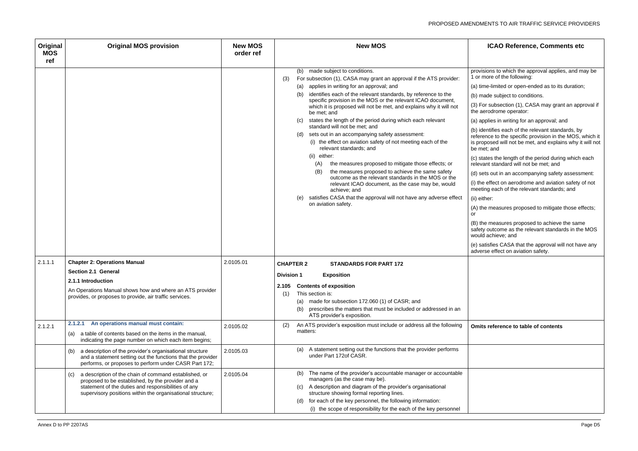- sions to which the approval applies, and may be nore of the following:
- me-limited or open-ended as to its duration;
- ade subject to conditions.
- or subsection (1), CASA may grant an approval if erodrome operator:
- oplies in writing for an approval; and
- lentifies each of the relevant standards, by ence to the specific provision in the MOS, which it pposed will not be met, and explains why it will not et; and
- ates the length of the period during which each ant standard will not be met; and
- ets out in an accompanying safety assessment:
- effect on aerodrome and aviation safety of not ting each of the relevant standards; and
- ther:
- he measures proposed to mitigate those effects;
- he measures proposed to achieve the same y outcome as the relevant standards in the MOS l achieve; and
- tisfies CASA that the approval will not have any rse effect on aviation safety.

| Original<br><b>MOS</b><br>ref | <b>Original MOS provision</b>                                                                                                                                                                                                          | <b>New MOS</b><br>order ref | <b>New MOS</b>                                                                                                                                                                                                                                                                                                                                                                                                                                                                                                                                                                                                                                                                                                                                                                                                                                                                                                                                                                                                                     |                                                                                                                                                                                                                                                             |
|-------------------------------|----------------------------------------------------------------------------------------------------------------------------------------------------------------------------------------------------------------------------------------|-----------------------------|------------------------------------------------------------------------------------------------------------------------------------------------------------------------------------------------------------------------------------------------------------------------------------------------------------------------------------------------------------------------------------------------------------------------------------------------------------------------------------------------------------------------------------------------------------------------------------------------------------------------------------------------------------------------------------------------------------------------------------------------------------------------------------------------------------------------------------------------------------------------------------------------------------------------------------------------------------------------------------------------------------------------------------|-------------------------------------------------------------------------------------------------------------------------------------------------------------------------------------------------------------------------------------------------------------|
|                               |                                                                                                                                                                                                                                        |                             | made subject to conditions.<br>(b)<br>For subsection (1), CASA may grant an approval if the ATS provider:<br>(3)<br>applies in writing for an approval; and<br>(a)<br>identifies each of the relevant standards, by reference to the<br>(b)<br>specific provision in the MOS or the relevant ICAO document,<br>which it is proposed will not be met, and explains why it will not<br>be met; and<br>states the length of the period during which each relevant<br>(C)<br>standard will not be met; and<br>sets out in an accompanying safety assessment:<br>(d)<br>(i) the effect on aviation safety of not meeting each of the<br>relevant standards; and<br>(ii) either:<br>the measures proposed to mitigate those effects; or<br>(A)<br>the measures proposed to achieve the same safety<br>(B)<br>outcome as the relevant standards in the MOS or the<br>relevant ICAO document, as the case may be, would<br>achieve; and<br>satisfies CASA that the approval will not have any adverse effect<br>(e)<br>on aviation safety. | provis<br>1 or n<br>$(a)$ tin<br>$(b)$ ma<br>$(3)$ Fc<br>the ae<br>$(a)$ ap<br>$(b)$ ide<br>refere<br>is pro<br>be me<br>(c) sta<br>releva<br>$(d)$ se<br>(i) the<br>meeti<br>(ii) eit<br>$(A)$ the<br>or<br>$(B)$ th<br>safety<br>would<br>(e) sa<br>adver |
| 2.1.1.1                       | <b>Chapter 2: Operations Manual</b><br><b>Section 2.1 General</b>                                                                                                                                                                      | 2.0105.01                   | <b>CHAPTER 2</b><br><b>STANDARDS FOR PART 172</b>                                                                                                                                                                                                                                                                                                                                                                                                                                                                                                                                                                                                                                                                                                                                                                                                                                                                                                                                                                                  |                                                                                                                                                                                                                                                             |
|                               | 2.1.1 Introduction<br>An Operations Manual shows how and where an ATS provider<br>provides, or proposes to provide, air traffic services.                                                                                              |                             | <b>Division 1</b><br><b>Exposition</b><br><b>Contents of exposition</b><br>2.105<br>This section is:<br>(1)<br>made for subsection 172.060 (1) of CASR; and<br>(a)<br>prescribes the matters that must be included or addressed in an<br>(b)<br>ATS provider's exposition.                                                                                                                                                                                                                                                                                                                                                                                                                                                                                                                                                                                                                                                                                                                                                         |                                                                                                                                                                                                                                                             |
| 2.1.2.1                       | An operations manual must contain:<br>2.1.2.1<br>a table of contents based on the items in the manual,<br>(a)<br>indicating the page number on which each item begins;                                                                 | 2.0105.02                   | An ATS provider's exposition must include or address all the following<br>(2)<br>matters:                                                                                                                                                                                                                                                                                                                                                                                                                                                                                                                                                                                                                                                                                                                                                                                                                                                                                                                                          | <b>Omits</b>                                                                                                                                                                                                                                                |
|                               | a description of the provider's organisational structure<br>(b)<br>and a statement setting out the functions that the provider<br>performs, or proposes to perform under CASR Part 172;                                                | 2.0105.03                   | A statement setting out the functions that the provider performs<br>(a)<br>under Part 172of CASR.                                                                                                                                                                                                                                                                                                                                                                                                                                                                                                                                                                                                                                                                                                                                                                                                                                                                                                                                  |                                                                                                                                                                                                                                                             |
|                               | a description of the chain of command established, or<br>(c)<br>proposed to be established, by the provider and a<br>statement of the duties and responsibilities of any<br>supervisory positions within the organisational structure; | 2.0105.04                   | The name of the provider's accountable manager or accountable<br>(b)<br>managers (as the case may be).<br>A description and diagram of the provider's organisational<br>(C)<br>structure showing formal reporting lines.<br>for each of the key personnel, the following information:<br>(d)<br>(i) the scope of responsibility for the each of the key personnel                                                                                                                                                                                                                                                                                                                                                                                                                                                                                                                                                                                                                                                                  |                                                                                                                                                                                                                                                             |

### **Omits reference to table of contents**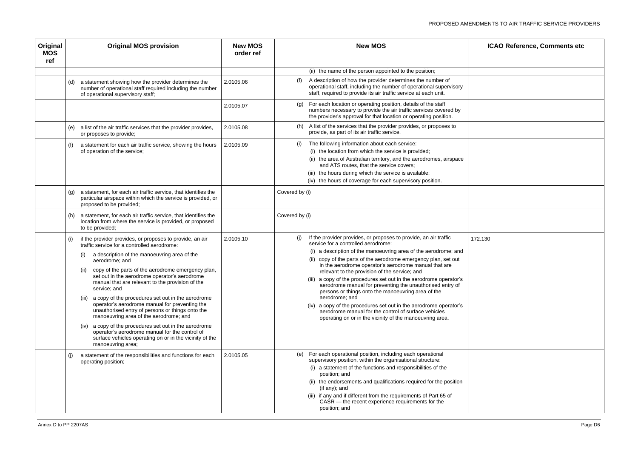| ICAO Reference, Comments etc                               |  |
|------------------------------------------------------------|--|
| <u> 1989 - Johann Barn, amerikansk politiker (d. 1989)</u> |  |
|                                                            |  |
|                                                            |  |
|                                                            |  |
|                                                            |  |
|                                                            |  |
|                                                            |  |
|                                                            |  |
| 130                                                        |  |
|                                                            |  |
|                                                            |  |
|                                                            |  |
|                                                            |  |
|                                                            |  |
|                                                            |  |
|                                                            |  |
|                                                            |  |
|                                                            |  |
|                                                            |  |

| Original<br><b>MOS</b><br>ref | <b>Original MOS provision</b>                                                                                                                                                                                                                                                                                                                                                                                                                                                                                                                                                                                                                                                                                                                                             | <b>New MOS</b><br>order ref | <b>New MOS</b>                                                                                                                                                                                                                                                                                                                                                                                                                                                                                                                                                                                                                                                                                                                                              | <b>ICAO Reference, Comments etc</b> |
|-------------------------------|---------------------------------------------------------------------------------------------------------------------------------------------------------------------------------------------------------------------------------------------------------------------------------------------------------------------------------------------------------------------------------------------------------------------------------------------------------------------------------------------------------------------------------------------------------------------------------------------------------------------------------------------------------------------------------------------------------------------------------------------------------------------------|-----------------------------|-------------------------------------------------------------------------------------------------------------------------------------------------------------------------------------------------------------------------------------------------------------------------------------------------------------------------------------------------------------------------------------------------------------------------------------------------------------------------------------------------------------------------------------------------------------------------------------------------------------------------------------------------------------------------------------------------------------------------------------------------------------|-------------------------------------|
|                               |                                                                                                                                                                                                                                                                                                                                                                                                                                                                                                                                                                                                                                                                                                                                                                           |                             | (ii) the name of the person appointed to the position;                                                                                                                                                                                                                                                                                                                                                                                                                                                                                                                                                                                                                                                                                                      |                                     |
|                               | a statement showing how the provider determines the<br>(d)<br>number of operational staff required including the number<br>of operational supervisory staff;                                                                                                                                                                                                                                                                                                                                                                                                                                                                                                                                                                                                              | (f)<br>2.0105.06            | A description of how the provider determines the number of<br>operational staff, including the number of operational supervisory<br>staff, required to provide its air traffic service at each unit.                                                                                                                                                                                                                                                                                                                                                                                                                                                                                                                                                        |                                     |
|                               |                                                                                                                                                                                                                                                                                                                                                                                                                                                                                                                                                                                                                                                                                                                                                                           | 2.0105.07                   | (g) For each location or operating position, details of the staff<br>numbers necessary to provide the air traffic services covered by<br>the provider's approval for that location or operating position.                                                                                                                                                                                                                                                                                                                                                                                                                                                                                                                                                   |                                     |
|                               | a list of the air traffic services that the provider provides,<br>(e)<br>or proposes to provide;                                                                                                                                                                                                                                                                                                                                                                                                                                                                                                                                                                                                                                                                          | (h)<br>2.0105.08            | A list of the services that the provider provides, or proposes to<br>provide, as part of its air traffic service.                                                                                                                                                                                                                                                                                                                                                                                                                                                                                                                                                                                                                                           |                                     |
|                               | a statement for each air traffic service, showing the hours<br>of operation of the service;                                                                                                                                                                                                                                                                                                                                                                                                                                                                                                                                                                                                                                                                               | (i)<br>2.0105.09            | The following information about each service:<br>(i) the location from which the service is provided;<br>the area of Australian territory, and the aerodromes, airspace<br>and ATS routes, that the service covers;<br>the hours during which the service is available;<br>(iii)<br>(iv) the hours of coverage for each supervisory position.                                                                                                                                                                                                                                                                                                                                                                                                               |                                     |
|                               | a statement, for each air traffic service, that identifies the<br>(g)<br>particular airspace within which the service is provided, or<br>proposed to be provided;                                                                                                                                                                                                                                                                                                                                                                                                                                                                                                                                                                                                         | Covered by (i)              |                                                                                                                                                                                                                                                                                                                                                                                                                                                                                                                                                                                                                                                                                                                                                             |                                     |
|                               | a statement, for each air traffic service, that identifies the<br>(h)<br>location from where the service is provided, or proposed<br>to be provided;                                                                                                                                                                                                                                                                                                                                                                                                                                                                                                                                                                                                                      | Covered by (i)              |                                                                                                                                                                                                                                                                                                                                                                                                                                                                                                                                                                                                                                                                                                                                                             |                                     |
|                               | if the provider provides, or proposes to provide, an air<br>traffic service for a controlled aerodrome:<br>a description of the manoeuvring area of the<br>aerodrome; and<br>copy of the parts of the aerodrome emergency plan,<br>(ii)<br>set out in the aerodrome operator's aerodrome<br>manual that are relevant to the provision of the<br>service; and<br>a copy of the procedures set out in the aerodrome<br>(iii)<br>operator's aerodrome manual for preventing the<br>unauthorised entry of persons or things onto the<br>manoeuvring area of the aerodrome; and<br>a copy of the procedures set out in the aerodrome<br>(iv)<br>operator's aerodrome manual for the control of<br>surface vehicles operating on or in the vicinity of the<br>manoeuvring area; | (i)<br>2.0105.10            | If the provider provides, or proposes to provide, an air traffic<br>service for a controlled aerodrome:<br>(i) a description of the manoeuvring area of the aerodrome; and<br>(ii) copy of the parts of the aerodrome emergency plan, set out<br>in the aerodrome operator's aerodrome manual that are<br>relevant to the provision of the service; and<br>(iii) a copy of the procedures set out in the aerodrome operator's<br>aerodrome manual for preventing the unauthorised entry of<br>persons or things onto the manoeuvring area of the<br>aerodrome; and<br>(iv) a copy of the procedures set out in the aerodrome operator's<br>aerodrome manual for the control of surface vehicles<br>operating on or in the vicinity of the manoeuvring area. | 172.130                             |
|                               | a statement of the responsibilities and functions for each<br>operating position;                                                                                                                                                                                                                                                                                                                                                                                                                                                                                                                                                                                                                                                                                         | 2.0105.05                   | (e) For each operational position, including each operational<br>supervisory position, within the organisational structure:<br>(i) a statement of the functions and responsibilities of the<br>position; and<br>(ii) the endorsements and qualifications required for the position<br>$($ if any $)$ ; and<br>(iii) if any and if different from the requirements of Part 65 of<br>CASR - the recent experience requirements for the<br>position; and                                                                                                                                                                                                                                                                                                       |                                     |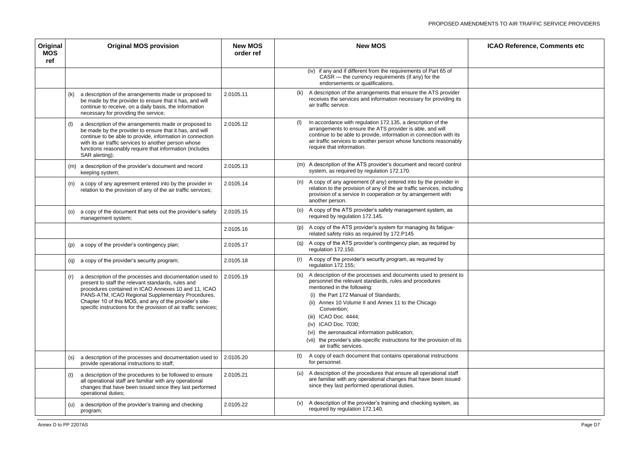| ICAO Reference, Comments etc<br>the control of the control of the control of the control of the control of the control of the control of the control of the control of the control of the control of the control of the control of the control of the control |  |
|---------------------------------------------------------------------------------------------------------------------------------------------------------------------------------------------------------------------------------------------------------------|--|
|                                                                                                                                                                                                                                                               |  |
|                                                                                                                                                                                                                                                               |  |
|                                                                                                                                                                                                                                                               |  |
|                                                                                                                                                                                                                                                               |  |
|                                                                                                                                                                                                                                                               |  |
|                                                                                                                                                                                                                                                               |  |
|                                                                                                                                                                                                                                                               |  |
|                                                                                                                                                                                                                                                               |  |
|                                                                                                                                                                                                                                                               |  |
|                                                                                                                                                                                                                                                               |  |
|                                                                                                                                                                                                                                                               |  |
|                                                                                                                                                                                                                                                               |  |
|                                                                                                                                                                                                                                                               |  |
|                                                                                                                                                                                                                                                               |  |

| Original<br><b>MOS</b><br>ref | <b>Original MOS provision</b>                                                                                                                                                                                                                                                                                                                                                    | <b>New MOS</b><br>order ref | <b>New MOS</b>                                                                                                                                                                                                                                                                                                                                                                                                                                                                   | <b>ICAO Reference, Comments etc</b> |
|-------------------------------|----------------------------------------------------------------------------------------------------------------------------------------------------------------------------------------------------------------------------------------------------------------------------------------------------------------------------------------------------------------------------------|-----------------------------|----------------------------------------------------------------------------------------------------------------------------------------------------------------------------------------------------------------------------------------------------------------------------------------------------------------------------------------------------------------------------------------------------------------------------------------------------------------------------------|-------------------------------------|
|                               |                                                                                                                                                                                                                                                                                                                                                                                  |                             | (iv) if any and if different from the requirements of Part 65 of<br>$CASR$ — the currency requirements (if any) for the<br>endorsements or qualifications.                                                                                                                                                                                                                                                                                                                       |                                     |
|                               | a description of the arrangements made or proposed to<br>(k)<br>be made by the provider to ensure that it has, and will<br>continue to receive, on a daily basis, the information<br>necessary for providing the service;                                                                                                                                                        | 2.0105.11                   | (k) A description of the arrangements that ensure the ATS provider<br>receives the services and information necessary for providing its<br>air traffic service.                                                                                                                                                                                                                                                                                                                  |                                     |
|                               | a description of the arrangements made or proposed to<br>be made by the provider to ensure that it has, and will<br>continue to be able to provide, information in connection<br>with its air traffic services to another person whose<br>functions reasonably require that information (includes<br>SAR alerting);                                                              | 2.0105.12                   | In accordance with regulation 172.135, a description of the<br>(1)<br>arrangements to ensure the ATS provider is able, and will<br>continue to be able to provide, information in connection with its<br>air traffic services to another person whose functions reasonably<br>require that information.                                                                                                                                                                          |                                     |
|                               | (m) a description of the provider's document and record<br>keeping system;                                                                                                                                                                                                                                                                                                       | 2.0105.13                   | (m) A description of the ATS provider's document and record control<br>system, as required by regulation 172.170.                                                                                                                                                                                                                                                                                                                                                                |                                     |
|                               | a copy of any agreement entered into by the provider in<br>(n)<br>relation to the provision of any of the air traffic services;                                                                                                                                                                                                                                                  | 2.0105.14                   | (n) A copy of any agreement (if any) entered into by the provider in<br>relation to the provision of any of the air traffic services, including<br>provision of a service in cooperation or by arrangement with<br>another person.                                                                                                                                                                                                                                               |                                     |
|                               | a copy of the document that sets out the provider's safety<br>(o)<br>management system;                                                                                                                                                                                                                                                                                          | 2.0105.15                   | (o) A copy of the ATS provider's safety management system, as<br>required by regulation 172.145.                                                                                                                                                                                                                                                                                                                                                                                 |                                     |
|                               |                                                                                                                                                                                                                                                                                                                                                                                  | 2.0105.16                   | (p) A copy of the ATS provider's system for managing its fatigue-<br>related safety risks as required by 172.P145                                                                                                                                                                                                                                                                                                                                                                |                                     |
|                               | (p) a copy of the provider's contingency plan;                                                                                                                                                                                                                                                                                                                                   | 2.0105.17                   | (q) A copy of the ATS provider's contingency plan, as required by<br>regulation 172.150.                                                                                                                                                                                                                                                                                                                                                                                         |                                     |
|                               | (q) a copy of the provider's security program;                                                                                                                                                                                                                                                                                                                                   | 2.0105.18                   | A copy of the provider's security program, as required by<br>(r)<br>regulation 172.155;                                                                                                                                                                                                                                                                                                                                                                                          |                                     |
|                               | (r) a description of the processes and documentation used to $\vert$ 2.0105.19<br>present to staff the relevant standards, rules and<br>procedures contained in ICAO Annexes 10 and 11, ICAO<br>PANS-ATM, ICAO Regional Supplementary Procedures,<br>Chapter 10 of this MOS, and any of the provider's site-<br>specific instructions for the provision of air traffic services; |                             | (s) A description of the processes and documents used to present to<br>personnel the relevant standards, rules and procedures<br>mentioned in the following:<br>(i) the Part 172 Manual of Standards;<br>(ii) Annex 10 Volume II and Annex 11 to the Chicago<br>Convention;<br>ICAO Doc. 4444;<br>(iii)<br>(iv) ICAO Doc. 7030;<br>(vi) the aeronautical information publication;<br>the provider's site-specific instructions for the provision of its<br>air traffic services. |                                     |
|                               | a description of the processes and documentation used to<br>(S)<br>provide operational instructions to staff;                                                                                                                                                                                                                                                                    | 2.0105.20                   | A copy of each document that contains operational instructions<br>for personnel.                                                                                                                                                                                                                                                                                                                                                                                                 |                                     |
|                               | a description of the procedures to be followed to ensure<br>all operational staff are familiar with any operational<br>changes that have been issued since they last performed<br>operational duties;                                                                                                                                                                            | 2.0105.21                   | (u) A description of the procedures that ensure all operational staff<br>are familiar with any operational changes that have been issued<br>since they last performed operational duties.                                                                                                                                                                                                                                                                                        |                                     |
|                               | a description of the provider's training and checking<br>(u)<br>program;                                                                                                                                                                                                                                                                                                         | 2.0105.22                   | (v) A description of the provider's training and checking system, as<br>required by regulation 172.140.                                                                                                                                                                                                                                                                                                                                                                          |                                     |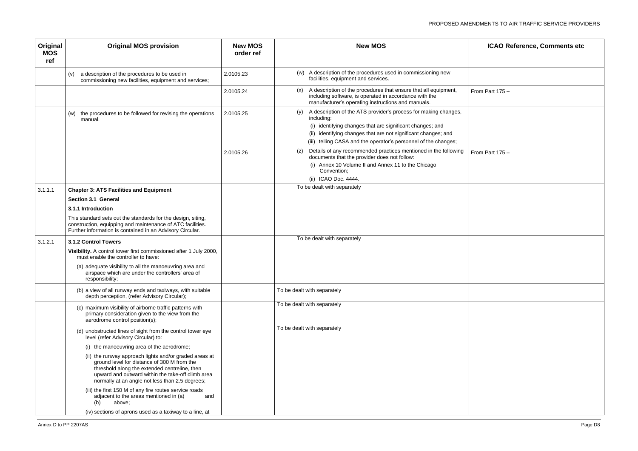| ICAO Reference, Comments etc |
|------------------------------|
|                              |
| om Part $175 -$              |
|                              |
|                              |
| om Part $175 -$              |
|                              |
|                              |
|                              |
|                              |
|                              |
|                              |
|                              |
|                              |
|                              |
|                              |
|                              |
|                              |
|                              |

| Original<br><b>MOS</b><br>ref | <b>Original MOS provision</b>                                                                                                                                                                                                                                  | <b>New MOS</b><br>order ref | <b>New MOS</b>                                                                                                                                                                                                                                                                      | <b>ICAO Reference, Comments etc</b> |
|-------------------------------|----------------------------------------------------------------------------------------------------------------------------------------------------------------------------------------------------------------------------------------------------------------|-----------------------------|-------------------------------------------------------------------------------------------------------------------------------------------------------------------------------------------------------------------------------------------------------------------------------------|-------------------------------------|
|                               | a description of the procedures to be used in<br>(v)<br>commissioning new facilities, equipment and services;                                                                                                                                                  | 2.0105.23                   | (w) A description of the procedures used in commissioning new<br>facilities, equipment and services.                                                                                                                                                                                |                                     |
|                               |                                                                                                                                                                                                                                                                | 2.0105.24                   | (x) A description of the procedures that ensure that all equipment,<br>including software, is operated in accordance with the<br>manufacturer's operating instructions and manuals.                                                                                                 | From Part $175 -$                   |
|                               | (w) the procedures to be followed for revising the operations<br>manual.                                                                                                                                                                                       | 2.0105.25                   | (y) A description of the ATS provider's process for making changes,<br>including:<br>(i) identifying changes that are significant changes; and<br>(ii) identifying changes that are not significant changes; and<br>(iii) telling CASA and the operator's personnel of the changes; |                                     |
|                               |                                                                                                                                                                                                                                                                | 2.0105.26                   | Details of any recommended practices mentioned in the following<br>(z)<br>documents that the provider does not follow:<br>(i) Annex 10 Volume II and Annex 11 to the Chicago<br>Convention;<br>(ii) ICAO Doc. 4444.                                                                 | From Part $175 -$                   |
| 3.1.1.1                       | <b>Chapter 3: ATS Facilities and Equipment</b>                                                                                                                                                                                                                 |                             | To be dealt with separately                                                                                                                                                                                                                                                         |                                     |
|                               | Section 3.1 General                                                                                                                                                                                                                                            |                             |                                                                                                                                                                                                                                                                                     |                                     |
|                               | 3.1.1 Introduction                                                                                                                                                                                                                                             |                             |                                                                                                                                                                                                                                                                                     |                                     |
|                               | This standard sets out the standards for the design, siting,<br>construction, equipping and maintenance of ATC facilities.<br>Further information is contained in an Advisory Circular.                                                                        |                             |                                                                                                                                                                                                                                                                                     |                                     |
| 3.1.2.1                       | 3.1.2 Control Towers                                                                                                                                                                                                                                           |                             | To be dealt with separately                                                                                                                                                                                                                                                         |                                     |
|                               | Visibility. A control tower first commissioned after 1 July 2000,<br>must enable the controller to have:                                                                                                                                                       |                             |                                                                                                                                                                                                                                                                                     |                                     |
|                               | (a) adequate visibility to all the manoeuvring area and<br>airspace which are under the controllers' area of<br>responsibility;                                                                                                                                |                             |                                                                                                                                                                                                                                                                                     |                                     |
|                               | (b) a view of all runway ends and taxiways, with suitable<br>depth perception, (refer Advisory Circular);                                                                                                                                                      |                             | To be dealt with separately                                                                                                                                                                                                                                                         |                                     |
|                               | (c) maximum visibility of airborne traffic patterns with<br>primary consideration given to the view from the<br>aerodrome control position(s);                                                                                                                 |                             | To be dealt with separately                                                                                                                                                                                                                                                         |                                     |
|                               | (d) unobstructed lines of sight from the control tower eye<br>level (refer Advisory Circular) to:                                                                                                                                                              |                             | To be dealt with separately                                                                                                                                                                                                                                                         |                                     |
|                               | (i) the manoeuvring area of the aerodrome;                                                                                                                                                                                                                     |                             |                                                                                                                                                                                                                                                                                     |                                     |
|                               | (ii) the runway approach lights and/or graded areas at<br>ground level for distance of 300 M from the<br>threshold along the extended centreline, then<br>upward and outward within the take-off climb area<br>normally at an angle not less than 2.5 degrees; |                             |                                                                                                                                                                                                                                                                                     |                                     |
|                               | (iii) the first 150 M of any fire routes service roads<br>adjacent to the areas mentioned in (a)<br>and<br>(b)<br>above;                                                                                                                                       |                             |                                                                                                                                                                                                                                                                                     |                                     |
|                               | (iv) sections of aprons used as a taxiway to a line, at                                                                                                                                                                                                        |                             |                                                                                                                                                                                                                                                                                     |                                     |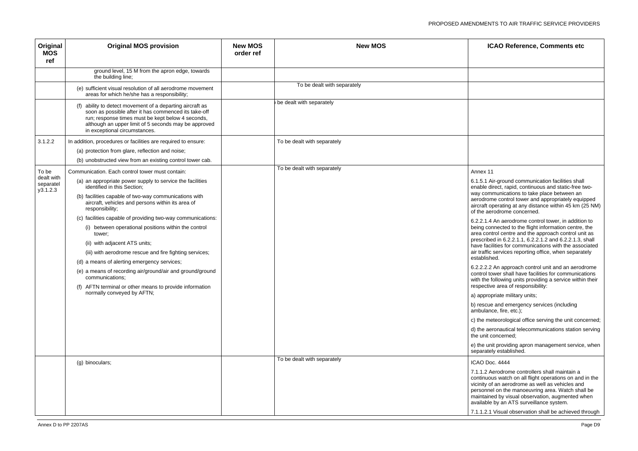5.1 Air-ground communication facilities shall le direct, rapid, continuous and static-free twocommunications to take place between an drome control tower and appropriately equipped aft operating at any distance within 45 km (25 NM) e aerodrome concerned.

6.2.2.1.4 An aerodrome control tower, in addition to g connected to the flight information centre, the control centre and the approach control unit as prescribed in 6.2.2.1.1, 6.2.2.1.2 and 6.2.2.1.3, shall facilities for communications with the associated affic services reporting office, when separately blished.

6.2.2.2.2 An approach control unit and an aerodrome rol tower shall have facilities for communications the following units providing a service within their ective area of responsibility:

opropriate military units;

scue and emergency services (including ulance, fire, etc.);

e meteorological office serving the unit concerned;

e aeronautical telecommunications station serving unit concerned;

e unit providing apron management service, when arately established.

1.2 Aerodrome controllers shall maintain a inuous watch on all flight operations on and in the ity of an aerodrome as well as vehicles and onnel on the manoeuvring area. Watch shall be tained by visual observation, augmented when able by an ATS surveillance system.

| Original<br><b>MOS</b><br>ref       | <b>Original MOS provision</b>                                                                                                                                                                                                                                   | <b>New MOS</b><br>order ref | <b>New MOS</b>              | <b>ICAOR</b>                                                                  |
|-------------------------------------|-----------------------------------------------------------------------------------------------------------------------------------------------------------------------------------------------------------------------------------------------------------------|-----------------------------|-----------------------------|-------------------------------------------------------------------------------|
|                                     | ground level, 15 M from the apron edge, towards<br>the building line;                                                                                                                                                                                           |                             |                             |                                                                               |
|                                     | (e) sufficient visual resolution of all aerodrome movement<br>areas for which he/she has a responsibility;                                                                                                                                                      |                             | To be dealt with separately |                                                                               |
|                                     | (f) ability to detect movement of a departing aircraft as<br>soon as possible after it has commenced its take-off<br>run; response times must be kept below 4 seconds,<br>although an upper limit of 5 seconds may be approved<br>in exceptional circumstances. |                             | be dealt with separately    |                                                                               |
| 3.1.2.2                             | In addition, procedures or facilities are required to ensure:                                                                                                                                                                                                   |                             | To be dealt with separately |                                                                               |
|                                     | (a) protection from glare, reflection and noise;                                                                                                                                                                                                                |                             |                             |                                                                               |
|                                     | (b) unobstructed view from an existing control tower cab.                                                                                                                                                                                                       |                             |                             |                                                                               |
| To be                               | Communication. Each control tower must contain:                                                                                                                                                                                                                 |                             | To be dealt with separately | Annex 11                                                                      |
| dealt with<br>separatel<br>y3.1.2.3 | (a) an appropriate power supply to service the facilities<br>identified in this Section;                                                                                                                                                                        |                             |                             | 6.1.5.1 Air-grour<br>enable direct, ra                                        |
|                                     | (b) facilities capable of two-way communications with<br>aircraft, vehicles and persons within its area of<br>responsibility;                                                                                                                                   |                             |                             | way communica<br>aerodrome contr<br>aircraft operating<br>of the aerodrom     |
|                                     | (c) facilities capable of providing two-way communications:                                                                                                                                                                                                     |                             |                             | 6.2.2.1.4 An aer                                                              |
|                                     | (i) between operational positions within the control<br>tower;                                                                                                                                                                                                  |                             |                             | being connected<br>area control cen<br>prescribed in 6.2                      |
|                                     | (ii) with adjacent ATS units;                                                                                                                                                                                                                                   |                             |                             | have facilities for                                                           |
|                                     | (iii) with aerodrome rescue and fire fighting services;                                                                                                                                                                                                         |                             |                             | air traffic service<br>established.                                           |
|                                     | (d) a means of alerting emergency services;                                                                                                                                                                                                                     |                             |                             | 6.2.2.2.2 An app                                                              |
|                                     | (e) a means of recording air/ground/air and ground/ground<br>communications;                                                                                                                                                                                    |                             |                             | control tower sha<br>with the following                                       |
|                                     | (f) AFTN terminal or other means to provide information<br>normally conveyed by AFTN;                                                                                                                                                                           |                             |                             | respective area                                                               |
|                                     |                                                                                                                                                                                                                                                                 |                             |                             | a) appropriate m                                                              |
|                                     |                                                                                                                                                                                                                                                                 |                             |                             | b) rescue and er<br>ambulance, fire,                                          |
|                                     |                                                                                                                                                                                                                                                                 |                             |                             | c) the meteorolo                                                              |
|                                     |                                                                                                                                                                                                                                                                 |                             |                             | d) the aeronautio<br>the unit concern                                         |
|                                     |                                                                                                                                                                                                                                                                 |                             |                             | e) the unit provid<br>separately estab                                        |
|                                     | (g) binoculars;                                                                                                                                                                                                                                                 |                             | To be dealt with separately | ICAO Doc. 4444                                                                |
|                                     |                                                                                                                                                                                                                                                                 |                             |                             | 7.1.1.2 Aerodror<br>continuous watc<br>vicinity of an aer<br>personnel on the |
|                                     |                                                                                                                                                                                                                                                                 |                             |                             | maintained by vi<br>available by an /<br>7.1.1.2.1 Visual                     |
|                                     |                                                                                                                                                                                                                                                                 |                             |                             |                                                                               |

7.1.1.2.1 Visual observation shall be achieved through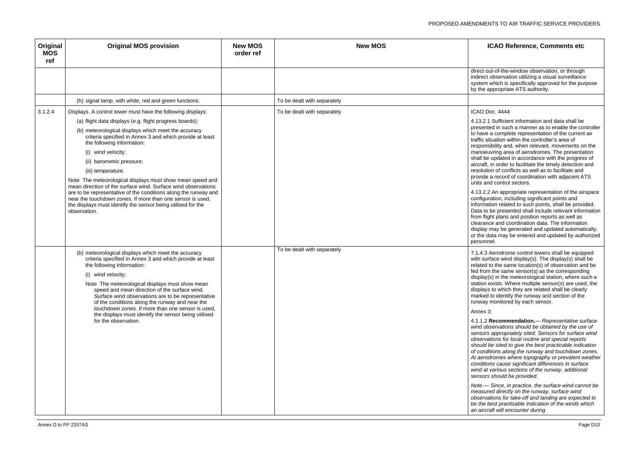out-of-the-window observation, or through ect observation utilizing a visual surveillance em which is specifically approved for the purpose e appropriate ATS authority.

4.13.2.1 Sufficient information and data shall be ented in such a manner as to enable the controller ive a complete representation of the current air situation within the controller's area of onsibility and, when relevant, movements on the beuvring area of aerodromes. The presentation be updated in accordance with the progress of aft, in order to facilitate the timely detection and ution of conflicts as well as to facilitate and de a record of coordination with adjacent ATS and control sectors.

4.13.2.2 An appropriate representation of the airspace quration, including significant points and nation related to such points, shall be provided. to be presented shall include relevant information flight plans and position reports as well as ance and coordination data. The information ay may be generated and updated automatically, data may be entered and updated by authorized pnnel.

.3 Aerodrome control towers shall be equipped surface wind display(s). The display(s) shall be ed to the same location(s) of observation and be rom the same sensor(s) as the corresponding ay(s) in the meteorological station, where such a on exists. Where multiple sensor(s) are used, the ays to which they are related shall be clearly red to identify the runway and section of the ay monitored by each sensor.

| Original<br><b>MOS</b><br>ref | <b>Original MOS provision</b>                                                                                                                                                                                                                                                                                                                                                                                                                                                                                         | <b>New MOS</b><br>order ref | <b>New MOS</b>              | <b>ICAOR</b>                                                                                                                                                                                                                                                                                                                                                                                         |
|-------------------------------|-----------------------------------------------------------------------------------------------------------------------------------------------------------------------------------------------------------------------------------------------------------------------------------------------------------------------------------------------------------------------------------------------------------------------------------------------------------------------------------------------------------------------|-----------------------------|-----------------------------|------------------------------------------------------------------------------------------------------------------------------------------------------------------------------------------------------------------------------------------------------------------------------------------------------------------------------------------------------------------------------------------------------|
|                               |                                                                                                                                                                                                                                                                                                                                                                                                                                                                                                                       |                             |                             | direct out-of-the-<br>indirect observat<br>system which is<br>by the appropria                                                                                                                                                                                                                                                                                                                       |
|                               | (h) signal lamp, with white, red and green functions.                                                                                                                                                                                                                                                                                                                                                                                                                                                                 |                             | To be dealt with separately |                                                                                                                                                                                                                                                                                                                                                                                                      |
| 3.1.2.4                       | Displays. A control tower must have the following displays:                                                                                                                                                                                                                                                                                                                                                                                                                                                           |                             | To be dealt with separately | ICAO Doc. 4444                                                                                                                                                                                                                                                                                                                                                                                       |
|                               | (a) flight data displays (e.g. flight progress boards);                                                                                                                                                                                                                                                                                                                                                                                                                                                               |                             |                             | 4.13.2.1 Sufficie<br>presented in suc                                                                                                                                                                                                                                                                                                                                                                |
|                               | (b) meteorological displays which meet the accuracy<br>criteria specified in Annex 3 and which provide at least<br>the following information:                                                                                                                                                                                                                                                                                                                                                                         |                             |                             | to have a comple<br>traffic situation w<br>responsibility an                                                                                                                                                                                                                                                                                                                                         |
|                               | (i) wind velocity;                                                                                                                                                                                                                                                                                                                                                                                                                                                                                                    |                             |                             | manoeuvring are                                                                                                                                                                                                                                                                                                                                                                                      |
|                               | (ii) barometric pressure;                                                                                                                                                                                                                                                                                                                                                                                                                                                                                             |                             |                             | shall be updated<br>aircraft, in order                                                                                                                                                                                                                                                                                                                                                               |
|                               | (iii) temperature.                                                                                                                                                                                                                                                                                                                                                                                                                                                                                                    |                             |                             | resolution of con<br>provide a record                                                                                                                                                                                                                                                                                                                                                                |
|                               | Note The meteorological displays must show mean speed and<br>mean direction of the surface wind. Surface wind observations<br>are to be representative of the conditions along the runway and<br>near the touchdown zones. If more than one sensor is used,<br>the displays must identify the sensor being utilised for the<br>observation.                                                                                                                                                                           |                             |                             | units and control<br>4.13.2.2 An appr<br>configuration, in<br>information relat<br>Data to be prese<br>from flight plans<br>clearance and co<br>display may be g<br>or the data may<br>personnel.                                                                                                                                                                                                    |
|                               | (b) meteorological displays which meet the accuracy<br>criteria specified in Annex 3 and which provide at least<br>the following information:<br>(i) wind velocity;<br>Note The meteorological displays must show mean<br>speed and mean direction of the surface wind.<br>Surface wind observations are to be representative<br>of the conditions along the runway and near the<br>touchdown zones. If more than one sensor is used,<br>the displays must identify the sensor being utilised<br>for the observation. |                             | To be dealt with separately | 7.1.4.3 Aerodror<br>with surface win<br>related to the sa<br>fed from the sam<br>display(s) in the<br>station exists. W<br>displays to which<br>marked to identi<br>runway monitore<br>Annex 3:<br>4.1.1.2 Recomn<br>wind observation<br>sensors appropr<br>observations for<br>should be sited<br>of conditions alo<br>At aerodromes v<br>conditions cause<br>wind at various s<br>sensors should I |
|                               |                                                                                                                                                                                                                                                                                                                                                                                                                                                                                                                       |                             |                             | Note.- Since, in<br>measured direct<br>observations for<br>be the best prac<br>an aircraft will ei                                                                                                                                                                                                                                                                                                   |

4.1.1.2 **Recommendation.**— *Representative surface*  biservations should be obtained by the use of *sensors appropriately sited. Sensors for surface wind observations for local routine and special reports should be sited to give the best practicable indication of conditions along the runway and touchdown zones. At aerodromes where topography or prevalent weather conditions cause significant differences in surface*  at various sections of the runway, additional *sensors should be provided.*

*Note.— Since, in practice, the surface wind cannot be measured directly on the runway, surface wind observations for take-off and landing are expected to be the best practicable indication of the winds which an aircraft will encounter during*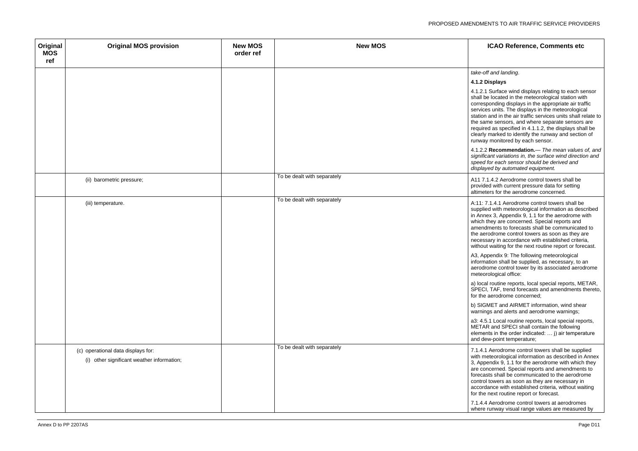### *take-off and landing*.

### **4.1.2 Displays**

1. Surface wind displays relating to each sensor be located in the meteorological station with sponding displays in the appropriate air traffic es units. The displays in the meteorological n and in the air traffic services units shall relate to ame sensors, and where separate sensors are red as specified in 4.1.1.2, the displays shall be y marked to identify the runway and section of ay monitored by each sensor.

4.1.2.2 **Recommendation.**— *The mean values of, and significant variations in, the surface wind direction and speed for each sensor should be derived and displayed by automated equipment.*

1.4.2 Aerodrome control towers shall be led with current pressure data for setting ters for the aerodrome concerned.

7.1.4.1 Aerodrome control towers shall be ied with meteorological information as described nex 3, Appendix 9, 1.1 for the aerodrome with they are concerned. Special reports and dments to forecasts shall be communicated to erodrome control towers as soon as they are sary in accordance with established criteria, ut waiting for the next routine report or forecast.

ppendix 9: The following meteorological  $\overline{\phantom{a}}$  ination shall be supplied, as necessary, to an rome control tower by its associated aerodrome orological office:

al routine reports, local special reports, METAR, CI, TAF, trend forecasts and amendments thereto, e aerodrome concerned;

**SMET and AIRMET information, wind shear** ngs and alerts and aerodrome warnings;

5.1 Local routine reports, local special reports, AR and SPECI shall contain the following ents in the order indicated:  $\dots$  j) air temperature ew-point temperature;

1 Aerodrome control towers shall be supplied neteorological information as described in Annex  $\alpha$  pendix 9, 1.1 for the aerodrome with which they oncerned. Special reports and amendments to asts shall be communicated to the aerodrome ol towers as soon as they are necessary in dance with established criteria, without waiting e next routine report or forecast.

4. Aerodrome control towers at aerodromes e runway visual range values are measured by

| Original<br><b>MOS</b><br>ref | <b>Original MOS provision</b>              | <b>New MOS</b><br>order ref | <b>New MOS</b>              |                          |
|-------------------------------|--------------------------------------------|-----------------------------|-----------------------------|--------------------------|
|                               |                                            |                             |                             | take-o                   |
|                               |                                            |                             |                             | 4.1.2                    |
|                               |                                            |                             |                             | 4.1.2.                   |
|                               |                                            |                             |                             | shall <b>b</b><br>corres |
|                               |                                            |                             |                             | servic                   |
|                               |                                            |                             |                             | station<br>the sa        |
|                               |                                            |                             |                             | requir                   |
|                               |                                            |                             |                             | clearly<br>runwa         |
|                               |                                            |                             |                             | 4.1.2.                   |
|                               |                                            |                             |                             | signifi<br>speed         |
|                               |                                            |                             |                             | displa                   |
|                               | (ii) barometric pressure;                  |                             | To be dealt with separately | A117                     |
|                               |                                            |                             |                             | provic<br>altime         |
|                               |                                            |                             | To be dealt with separately |                          |
|                               | (iii) temperature.                         |                             |                             | A:11:<br>suppli          |
|                               |                                            |                             |                             | in Anr<br>which          |
|                               |                                            |                             |                             | amen                     |
|                               |                                            |                             |                             | the ae<br>neces          |
|                               |                                            |                             |                             | withou                   |
|                               |                                            |                             |                             | A3, A<br>inform          |
|                               |                                            |                             |                             | aerod                    |
|                               |                                            |                             |                             | meteo                    |
|                               |                                            |                             |                             | a) loca                  |
|                               |                                            |                             |                             | for the                  |
|                               |                                            |                             |                             | b) SIG<br>warni          |
|                               |                                            |                             |                             | a3: 4.                   |
|                               |                                            |                             |                             | <b>META</b>              |
|                               |                                            |                             |                             | eleme<br>and d           |
|                               | (c) operational data displays for:         |                             | To be dealt with separately | 7.1.4.                   |
|                               | (i) other significant weather information; |                             |                             | with n                   |
|                               |                                            |                             |                             | $3,$ App<br>are co       |
|                               |                                            |                             |                             | foreca<br>contro         |
|                               |                                            |                             |                             | accor                    |
|                               |                                            |                             |                             | for the                  |
|                               |                                            |                             |                             | 7.1.4.<br>where          |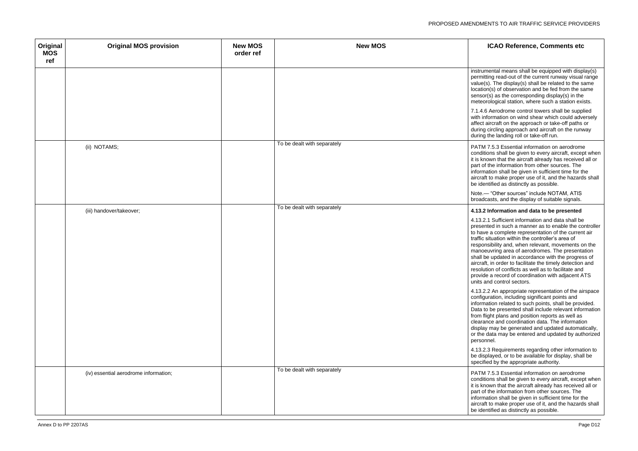$umental$  means shall be equipped with display(s) itting read-out of the current runway visual range  $e(s)$ . The display(s) shall be related to the same ion(s) of observation and be fed from the same  $or(s)$  as the corresponding display(s) in the orological station, where such a station exists.

| Original<br><b>MOS</b><br>ref | <b>Original MOS provision</b>         | <b>New MOS</b><br>order ref | <b>New MOS</b>              |                                                                                                                                                                                                                          |
|-------------------------------|---------------------------------------|-----------------------------|-----------------------------|--------------------------------------------------------------------------------------------------------------------------------------------------------------------------------------------------------------------------|
|                               |                                       |                             |                             | instru<br>perm<br>value<br>locati<br>sens<br>mete<br>7.1.4<br>with i                                                                                                                                                     |
|                               |                                       |                             | To be dealt with separately | affect<br>durin<br>durin                                                                                                                                                                                                 |
|                               | (ii) NOTAMS;                          |                             |                             | <b>PATM</b><br>condi<br>it is k<br>part o<br>inforr<br>aircra<br>be id<br>Note.<br>broad                                                                                                                                 |
|                               | (iii) handover/takeover;              |                             | To be dealt with separately | 4.13.<br>4.13.<br>prese<br>to ha<br>traffic<br>respo<br>mano<br>shall<br>aircra<br>resol<br>provi<br>units<br>4.13.<br>config<br>inforn<br>Data<br>from<br>clear<br>displa<br>or the<br>perso<br>4.13.<br>be di<br>speci |
|                               | (iv) essential aerodrome information; |                             | To be dealt with separately | <b>PATM</b><br>condi<br>it is k<br>part o<br>inforr<br>aircra<br>be id                                                                                                                                                   |

7.1.4.6 Aerodrome control towers shall be supplied information on wind shear which could adversely aircraft on the approach or take-off paths or g circling approach and aircraft on the runway g the landing roll or take-off run.

M 7.5.3 Essential information on aerodrome itions shall be given to every aircraft, except when mown that the aircraft already has received all or of the information from other sources. The mation shall be given in sufficient time for the aft to make proper use of it, and the hazards shall entified as distinctly as possible.

.- "Other sources" include NOTAM, ATIS dcasts, and the display of suitable signals.

4.13.2.1 Sufficient information and data shall be ented in such a manner as to enable the controller ive a complete representation of the current air situation within the controller's area of onsibility and, when relevant, movements on the peuvring area of aerodromes. The presentation be updated in accordance with the progress of aft, in order to facilitate the timely detection and ution of conflicts as well as to facilitate and de a record of coordination with adjacent ATS and control sectors.

2.2 An appropriate representation of the airspace quration, including significant points and mation related to such points, shall be provided. to be presented shall include relevant information flight plans and position reports as well as ance and coordination data. The information ay may be generated and updated automatically, e data may be entered and updated by authorized phnel.

4.13.2.3 Requirements regarding other information to splayed, or to be available for display, shall be ified by the appropriate authority.

M 7.5.3 Essential information on aerodrome itions shall be given to every aircraft, except when mown that the aircraft already has received all or of the information from other sources. The mation shall be given in sufficient time for the aft to make proper use of it, and the hazards shall entified as distinctly as possible.

### (iii) handover/takeover; To be dealt with separately **4.13.2 Information and data to be presented**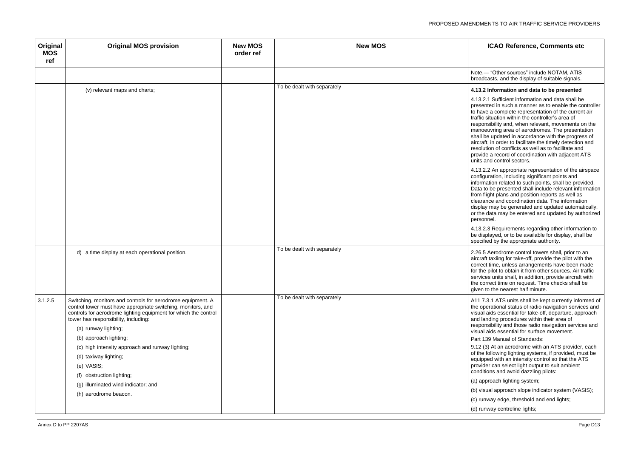$-$  "Other sources" include NOTAM, ATIS dcasts, and the display of suitable signals.

4.13.2.1 Sufficient information and data shall be ented in such a manner as to enable the controller ve a complete representation of the current air situation within the controller's area of onsibility and, when relevant, movements on the beuvring area of aerodromes. The presentation be updated in accordance with the progress of aft, in order to facilitate the timely detection and ution of conflicts as well as to facilitate and de a record of coordination with adjacent ATS and control sectors.

### (v) relevant maps and charts; To be dealt with separately **4.13.2 Information and data to be presented**

4.13.2.2 An appropriate representation of the airspace guration, including significant points and nation related to such points, shall be provided. to be presented shall include relevant information flight plans and position reports as well as ance and coordination data. The information ay may be generated and updated automatically, data may be entered and updated by authorized onnel.

4.13.2.3 Requirements regarding other information to splayed, or to be available for display, shall be fied by the appropriate authority.

5 Aerodrome control towers shall, prior to an aft taxiing for take-off, provide the pilot with the ct time, unless arrangements have been made e pilot to obtain it from other sources. Air traffic es units shall, in addition, provide aircraft with orrect time on request. Time checks shall be to the nearest half minute.

To 3.1 ATS units shall be kept currently informed of berational status of radio navigation services and aids essential for take-off, departure, approach anding procedures within their area of onsibility and those radio navigation services and aids essential for surface movement.

39 Manual of Standards:

(3) At an aerodrome with an ATS provider, each following lighting systems, if provided, must be pped with an intensity control so that the ATS der can select light output to suit ambient itions and avoid dazzling pilots:

proach lighting system;

sual approach slope indicator system (VASIS);

nway edge, threshold and end lights;

nway centreline lights;

| Original<br><b>MOS</b><br>ref | <b>Original MOS provision</b>                                                                                                                                                                                                                                                                                                                                                                                                                                                       | <b>New MOS</b><br>order ref | <b>New MOS</b>              |                                                                                                                                                                                                                                         |
|-------------------------------|-------------------------------------------------------------------------------------------------------------------------------------------------------------------------------------------------------------------------------------------------------------------------------------------------------------------------------------------------------------------------------------------------------------------------------------------------------------------------------------|-----------------------------|-----------------------------|-----------------------------------------------------------------------------------------------------------------------------------------------------------------------------------------------------------------------------------------|
|                               |                                                                                                                                                                                                                                                                                                                                                                                                                                                                                     |                             |                             | Note.<br>broad                                                                                                                                                                                                                          |
|                               | (v) relevant maps and charts;                                                                                                                                                                                                                                                                                                                                                                                                                                                       |                             | To be dealt with separately | 4.13.2<br>4.13.2<br>prese<br>to hay<br>traffic<br>respo<br>mano<br>shall I<br>aircra<br>resolu<br>provic<br>units<br>4.13.2<br>config<br>inform<br>Data f<br>from f<br>cleara<br>displa<br>or the<br>perso<br>4.13.2<br>be dis<br>speci |
|                               | d) a time display at each operational position.                                                                                                                                                                                                                                                                                                                                                                                                                                     |                             | To be dealt with separately | 2.26.5<br>aircra<br>corred<br>for the<br>servic<br>the co<br>given                                                                                                                                                                      |
| 3.1.2.5                       | Switching, monitors and controls for aerodrome equipment. A<br>control tower must have appropriate switching, monitors, and<br>controls for aerodrome lighting equipment for which the control<br>tower has responsibility, including:<br>(a) runway lighting;<br>(b) approach lighting;<br>(c) high intensity approach and runway lighting;<br>(d) taxiway lighting;<br>(e) VASIS;<br>obstruction lighting;<br>(f)<br>(g) illuminated wind indicator; and<br>(h) aerodrome beacon. |                             | To be dealt with separately | A117<br>the op<br>visual<br>and la<br>respo<br>visual<br>Part 1<br>9.12(<br>of the<br>equip<br>provic<br>condi<br>$(a)$ ap<br>(b) vis<br>(c) ru<br>(d) ru                                                                               |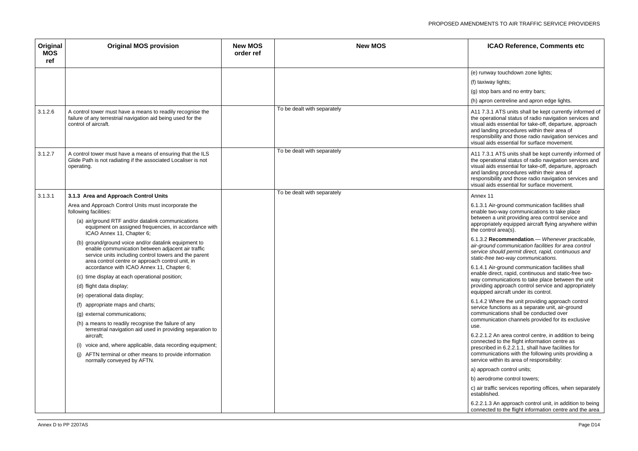(unway touchdown zone lights;

xiway lights;

top bars and no entry bars;

pron centreline and apron edge lights.

7.3.1 ATS units shall be kept currently informed of perational status of radio navigation services and al aids essential for take-off, departure, approach anding procedures within their area of onsibility and those radio navigation services and al aids essential for surface movement.

7.3.1 ATS units shall be kept currently informed of perational status of radio navigation services and al aids essential for take-off, departure, approach anding procedures within their area of onsibility and those radio navigation services and al aids essential for surface movement.

6.1 Air-ground communication facilities shall le two-way communications to take place een a unit providing area control service and opriately equipped aircraft flying anywhere within ontrol area(s).

6.1.4.1 Air-ground communication facilities shall le direct, rapid, continuous and static-free twocommunications to take place between the unit ding approach control service and appropriately pped aircraft under its control.

.2 Where the unit providing approach control ce functions as a separate unit, air-ground munications shall be conducted over munication channels provided for its exclusive

6.2.2.1.2 An area control centre, in addition to being ected to the flight information centre as cribed in 6.2.2.1.1, shall have facilities for munications with the following units providing a ce within its area of responsibility:

| Original<br><b>MOS</b><br>ref | <b>Original MOS provision</b>                                                                                                                                                                                            | <b>New MOS</b><br>order ref | <b>New MOS</b>              | IC                                                                           |
|-------------------------------|--------------------------------------------------------------------------------------------------------------------------------------------------------------------------------------------------------------------------|-----------------------------|-----------------------------|------------------------------------------------------------------------------|
|                               |                                                                                                                                                                                                                          |                             |                             | (e) runwa                                                                    |
|                               |                                                                                                                                                                                                                          |                             |                             | (f) taxiwa                                                                   |
|                               |                                                                                                                                                                                                                          |                             |                             | $(g)$ stop b                                                                 |
|                               |                                                                                                                                                                                                                          |                             |                             | (h) apron                                                                    |
| 3.1.2.6                       | A control tower must have a means to readily recognise the<br>failure of any terrestrial navigation aid being used for the<br>control of aircraft.                                                                       |                             | To be dealt with separately | A11 7.3.1<br>the opera<br>visual aid<br>and landi<br>responsit<br>visual aid |
| 3.1.2.7                       | A control tower must have a means of ensuring that the ILS<br>Glide Path is not radiating if the associated Localiser is not<br>operating.                                                                               |                             | To be dealt with separately | A11 7.3.1<br>the opera<br>visual aid<br>and landi<br>responsit<br>visual aid |
| 3.1.3.1                       | 3.1.3 Area and Approach Control Units                                                                                                                                                                                    |                             | To be dealt with separately | Annex 11                                                                     |
|                               | Area and Approach Control Units must incorporate the<br>following facilities:<br>(a) air/ground RTF and/or datalink communications<br>equipment on assigned frequencies, in accordance with<br>ICAO Annex 11, Chapter 6; |                             |                             | 6.1.3.1 Ai<br>enable tw<br>between<br>appropria<br>the contro                |
|                               | (b) ground/ground voice and/or datalink equipment to<br>enable communication between adjacent air traffic<br>service units including control towers and the parent<br>area control centre or approach control unit, in   |                             |                             | 6.1.3.2 $R$<br>air-groun<br>service si<br>static-free                        |
|                               | accordance with ICAO Annex 11, Chapter 6;                                                                                                                                                                                |                             |                             | 6.1.4.1 Ai<br>enable di                                                      |
|                               | (c) time display at each operational position;<br>(d) flight data display;                                                                                                                                               |                             |                             | way comi<br>providing                                                        |
|                               | (e) operational data display;                                                                                                                                                                                            |                             |                             | equipped                                                                     |
|                               | (f) appropriate maps and charts;                                                                                                                                                                                         |                             |                             | 6.1.4.2 W                                                                    |
|                               | (g) external communications;                                                                                                                                                                                             |                             |                             | service fu<br>communi                                                        |
|                               | (h) a means to readily recognise the failure of any<br>terrestrial navigation aid used in providing separation to                                                                                                        |                             |                             | communi<br>use.                                                              |
|                               | aircraft;                                                                                                                                                                                                                |                             |                             | 6.2.2.1.2<br>connecte                                                        |
|                               | voice and, where applicable, data recording equipment;<br>(i)                                                                                                                                                            |                             |                             | prescribe                                                                    |
|                               | AFTN terminal or other means to provide information<br>(1)<br>normally conveyed by AFTN.                                                                                                                                 |                             |                             | communi<br>service w                                                         |
|                               |                                                                                                                                                                                                                          |                             |                             | a) approa                                                                    |
|                               |                                                                                                                                                                                                                          |                             |                             | b) aerodr                                                                    |
|                               |                                                                                                                                                                                                                          |                             |                             | c) air traff<br>establish                                                    |
|                               |                                                                                                                                                                                                                          |                             |                             | 6.2.2.1.3<br>connecte                                                        |

6.2.2.1.3 An approach control unit, in addition to being ected to the flight information centre and the area

6.1.3.2 **Recommendation***.— Whenever practicable, air-ground communication facilities for area control service should permit direct, rapid, continuous and static-free two-way communications.*

a) approach control units;

**B** rodrome control towers;

traffic services reporting offices, when separately plished.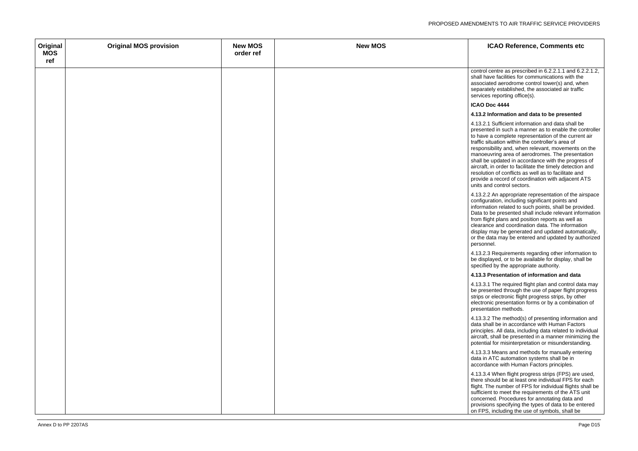ol centre as prescribed in  $6.2.2.1.1$  and  $6.2.2.1.2$ . have facilities for communications with the ciated aerodrome control tower(s) and, when rately established, the associated air traffic ces reporting office(s).

| Original<br><b>MOS</b> | <b>Original MOS provision</b> | <b>New MOS</b><br>order ref | <b>New MOS</b> |                             |
|------------------------|-------------------------------|-----------------------------|----------------|-----------------------------|
| ref                    |                               |                             |                |                             |
|                        |                               |                             |                | contro                      |
|                        |                               |                             |                | shall I<br>assoc            |
|                        |                               |                             |                | separ                       |
|                        |                               |                             |                | servic                      |
|                        |                               |                             |                | <b>ICAO</b>                 |
|                        |                               |                             |                | 4.13.2                      |
|                        |                               |                             |                | 4.13.2                      |
|                        |                               |                             |                | prese                       |
|                        |                               |                             |                | to hay                      |
|                        |                               |                             |                | traffic<br>respo            |
|                        |                               |                             |                | mano                        |
|                        |                               |                             |                | shall I                     |
|                        |                               |                             |                | aircra                      |
|                        |                               |                             |                | resolu<br>provic            |
|                        |                               |                             |                | units                       |
|                        |                               |                             |                | 4.13.2                      |
|                        |                               |                             |                | config<br>inform            |
|                        |                               |                             |                |                             |
|                        |                               |                             |                | Data <sup>®</sup><br>from f |
|                        |                               |                             |                | cleara                      |
|                        |                               |                             |                | displa                      |
|                        |                               |                             |                | or the<br>perso             |
|                        |                               |                             |                |                             |
|                        |                               |                             |                | 4.13.2<br>be dis            |
|                        |                               |                             |                | specif                      |
|                        |                               |                             |                | 4.13.3                      |
|                        |                               |                             |                | 4.13.3                      |
|                        |                               |                             |                | be pre                      |
|                        |                               |                             |                | strips                      |
|                        |                               |                             |                | electr<br>prese             |
|                        |                               |                             |                |                             |
|                        |                               |                             |                | 4.13.3<br>data s            |
|                        |                               |                             |                | princi                      |
|                        |                               |                             |                | aircra                      |
|                        |                               |                             |                | poten                       |
|                        |                               |                             |                | 4.13.3                      |
|                        |                               |                             |                | data i<br>accor             |
|                        |                               |                             |                |                             |
|                        |                               |                             |                | 4.13.3<br>there             |
|                        |                               |                             |                | flight.                     |
|                        |                               |                             |                | suffici                     |
|                        |                               |                             |                | conce<br>provis             |
|                        |                               |                             |                | $\frac{1}{2}$ on FF         |

4.13.2.1 Sufficient information and data shall be ented in such a manner as to enable the controller ve a complete representation of the current air situation within the controller's area of onsibility and, when relevant, movements on the beuvring area of aerodromes. The presentation be updated in accordance with the progress of aft, in order to facilitate the timely detection and ution of conflicts as well as to facilitate and de a record of coordination with adjacent ATS and control sectors.

### **ICAO Doc 4444**

### **4.13.2 Information and data to be presented**

4.13.2.2 An appropriate representation of the airspace guration, including significant points and nation related to such points, shall be provided. to be presented shall include relevant information flight plans and position reports as well as ance and coordination data. The information ay may be generated and updated automatically, data may be entered and updated by authorized phnel.

4.13.2.3 Requirements regarding other information to splayed, or to be available for display, shall be fied by the appropriate authority.

4.13.3.1 The required flight plan and control data may esented through the use of paper flight progress or electronic flight progress strips, by other ronic presentation forms or by a combination of entation methods.

4.13.3.2 The method(s) of presenting information and shall be in accordance with Human Factors iples. All data, including data related to individual aft, shall be presented in a manner minimizing the ntial for misinterpretation or misunderstanding.

4.13.3.3 Means and methods for manually entering in ATC automation systems shall be in rdance with Human Factors principles.

4.13.3.4 When flight progress strips (FPS) are used, should be at least one individual FPS for each The number of FPS for individual flights shall be ient to meet the requirements of the  $\overline{\text{ATS}}$  unit erned. Procedures for annotating data and sions specifying the types of data to be entered <sup>2</sup>S, including the use of symbols, shall be

### **4.13.3 Presentation of information and data**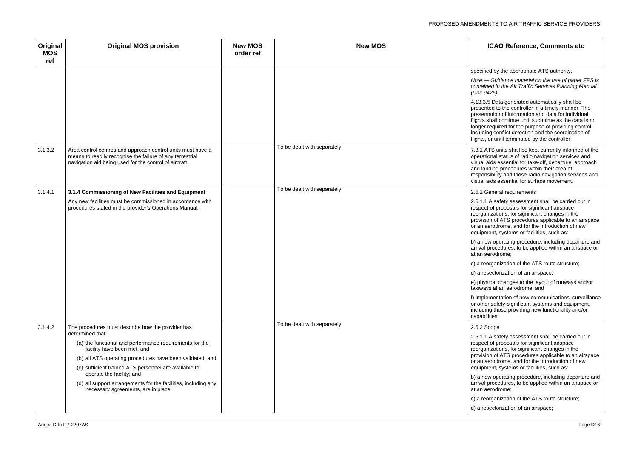ified by the appropriate ATS authority.

4.13.3.5 Data generated automatically shall be ented to the controller in a timely manner. The entation of information and data for individual ts shall continue until such time as the data is no er required for the purpose of providing control, ding conflict detection and the coordination of ts, or until terminated by the controller.

ATS units shall be kept currently informed of the ational status of radio navigation services and al aids essential for take-off, departure, approach landing procedures within their area of onsibility and those radio navigation services and al aids essential for surface movement.

**General requirements** 

1.1 A safety assessment shall be carried out in ect of proposals for significant airspace ganizations, for significant changes in the  $\frac{3}{5}$  ision of ATS procedures applicable to an airspace aerodrome, and for the introduction of new pment, systems or facilities, such as:

new operating procedure, including departure and al procedures, to be applied within an airspace or aerodrome;

reorganization of the ATS route structure;

resectorization of an airspace;

lysical changes to the layout of runways and/or rays at an aerodrome; and

plementation of new communications, surveillance .<br>her safety-significant systems and equipment, iding those providing new functionality and/or abilities.

1.1 A safety assessment shall be carried out in ect of proposals for significant airspace ganizations, for significant changes in the ision of ATS procedures applicable to an airspace aerodrome, and for the introduction of new pment, systems or facilities, such as:

new operating procedure, including departure and al procedures, to be applied within an airspace or aerodrome:

reorganization of the ATS route structure;

resectorization of an airspace;

*Note.— Guidance material on the use of paper FPS is contained in the Air Traffic Services Planning Manual (Doc 9426).*

| Original<br><b>MOS</b><br>ref | <b>Original MOS provision</b>                                                                                                                                                      | <b>New MOS</b><br>order ref | <b>New MOS</b>              | <b>ICA</b>                                                                                                     |
|-------------------------------|------------------------------------------------------------------------------------------------------------------------------------------------------------------------------------|-----------------------------|-----------------------------|----------------------------------------------------------------------------------------------------------------|
|                               |                                                                                                                                                                                    |                             |                             | specified by                                                                                                   |
|                               |                                                                                                                                                                                    |                             |                             | Note.— Gui<br>contained ir<br>(Doc 9426).                                                                      |
|                               |                                                                                                                                                                                    |                             |                             | 4.13.3.5 Da<br>presented to<br>presentation<br>flights shall<br>longer requi<br>including co<br>flights, or ur |
| 3.1.3.2                       | Area control centres and approach control units must have a<br>means to readily recognise the failure of any terrestrial<br>navigation aid being used for the control of aircraft. |                             | To be dealt with separately | 7.3.1 ATS u<br>operational<br>visual aids e<br>and landing<br>responsibilit<br>visual aids e                   |
| 3.1.4.1                       | 3.1.4 Commissioning of New Facilities and Equipment                                                                                                                                |                             | To be dealt with separately | 2.5.1 Gener                                                                                                    |
|                               | Any new facilities must be commissioned in accordance with<br>procedures stated in the provider's Operations Manual.                                                               |                             |                             | 2.6.1.1 A sa<br>respect of p<br>reorganizati<br>provision of<br>or an aerod<br>equipment,                      |
|                               |                                                                                                                                                                                    |                             |                             | b) a new op<br>arrival proce<br>at an aerodr                                                                   |
|                               |                                                                                                                                                                                    |                             |                             | c) a reorgan                                                                                                   |
|                               |                                                                                                                                                                                    |                             |                             | d) a resecto                                                                                                   |
|                               |                                                                                                                                                                                    |                             |                             | e) physical<br>taxiways at                                                                                     |
|                               |                                                                                                                                                                                    |                             |                             | f) implemen<br>or other safe<br>including the<br>capabilities.                                                 |
| 3.1.4.2                       | The procedures must describe how the provider has<br>determined that:                                                                                                              |                             | To be dealt with separately | 2.5.2 Scope                                                                                                    |
|                               | (a) the functional and performance requirements for the<br>facility have been met; and                                                                                             |                             |                             | 2.6.1.1 A sa<br>respect of p<br>reorganizati                                                                   |
|                               | (b) all ATS operating procedures have been validated; and                                                                                                                          |                             |                             | provision of<br>or an aerod                                                                                    |
|                               | (c) sufficient trained ATS personnel are available to<br>operate the facility; and                                                                                                 |                             |                             | equipment,                                                                                                     |
|                               | (d) all support arrangements for the facilities, including any<br>necessary agreements, are in place.                                                                              |                             |                             | b) a new op<br>arrival proce<br>at an aerodr                                                                   |
|                               |                                                                                                                                                                                    |                             |                             | c) a reorgan                                                                                                   |
|                               |                                                                                                                                                                                    |                             |                             | d) a resecto                                                                                                   |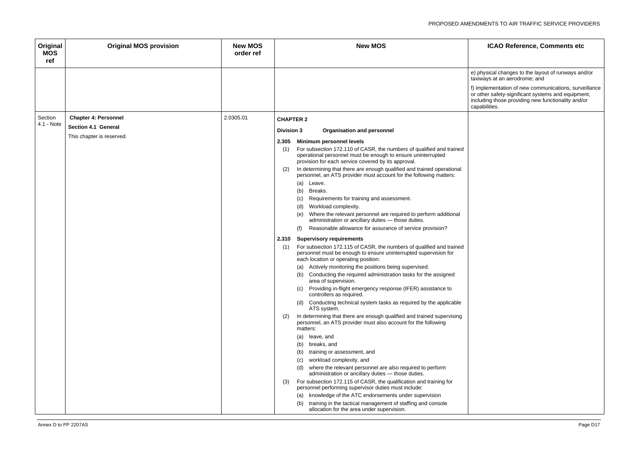hysical changes to the layout of runways and/or vays at an aerodrome; and

f) implementation of new communications, surveillance or other safety-significant systems and equipment, including those providing new functionality and/or capabilities.

| Original<br><b>MOS</b><br>ref | <b>Original MOS provision</b>                             | <b>New MOS</b><br>order ref | <b>New MOS</b>                                                                                                                                                                                                                                                                                                                                                                                                                                                                                                                                                                                                                                                                                                                                                                                                                                                                                                                                                                                                                                                                                                                                                                                                                                                                                                                                                                                                                                                                                                                                                                                                                                                                                                                                                                                                                                                                                                                                                                                           |
|-------------------------------|-----------------------------------------------------------|-----------------------------|----------------------------------------------------------------------------------------------------------------------------------------------------------------------------------------------------------------------------------------------------------------------------------------------------------------------------------------------------------------------------------------------------------------------------------------------------------------------------------------------------------------------------------------------------------------------------------------------------------------------------------------------------------------------------------------------------------------------------------------------------------------------------------------------------------------------------------------------------------------------------------------------------------------------------------------------------------------------------------------------------------------------------------------------------------------------------------------------------------------------------------------------------------------------------------------------------------------------------------------------------------------------------------------------------------------------------------------------------------------------------------------------------------------------------------------------------------------------------------------------------------------------------------------------------------------------------------------------------------------------------------------------------------------------------------------------------------------------------------------------------------------------------------------------------------------------------------------------------------------------------------------------------------------------------------------------------------------------------------------------------------|
|                               |                                                           |                             | e) ph<br>taxiw<br>f) imp<br>or oth<br>inclu<br>capa                                                                                                                                                                                                                                                                                                                                                                                                                                                                                                                                                                                                                                                                                                                                                                                                                                                                                                                                                                                                                                                                                                                                                                                                                                                                                                                                                                                                                                                                                                                                                                                                                                                                                                                                                                                                                                                                                                                                                      |
| Section<br>4.1 - Note         | <b>Chapter 4: Personnel</b><br><b>Section 4.1 General</b> | 2.0305.01                   | <b>CHAPTER 2</b>                                                                                                                                                                                                                                                                                                                                                                                                                                                                                                                                                                                                                                                                                                                                                                                                                                                                                                                                                                                                                                                                                                                                                                                                                                                                                                                                                                                                                                                                                                                                                                                                                                                                                                                                                                                                                                                                                                                                                                                         |
|                               | This chapter is reserved.                                 |                             | <b>Division 3</b><br><b>Organisation and personnel</b><br><b>Minimum personnel levels</b><br>2.305<br>For subsection 172.110 of CASR, the numbers of qualified and trained<br>(1)<br>operational personnel must be enough to ensure uninterrupted<br>provision for each service covered by its approval.<br>In determining that there are enough qualified and trained operational<br>(2)<br>personnel, an ATS provider must account for the following matters:<br>Leave.<br>(a)<br>Breaks.<br>(b)<br>(c)<br>Requirements for training and assessment.<br>Workload complexity.<br>(d)<br>Where the relevant personnel are required to perform additional<br>(e)<br>administration or ancillary duties - those duties.<br>Reasonable allowance for assurance of service provision?<br>(f)<br><b>Supervisory requirements</b><br>2.310<br>For subsection 172.115 of CASR, the numbers of qualified and trained<br>(1)<br>personnel must be enough to ensure uninterrupted supervision for<br>each location or operating position:<br>Actively monitoring the positions being supervised.<br>(a)<br>Conducting the required administration tasks for the assigned<br>(b)<br>area of supervision.<br>Providing in-flight emergency response (IFER) assistance to<br>(C)<br>controllers as required.<br>Conducting technical system tasks as required by the applicable<br>(d)<br>ATS system.<br>In determining that there are enough qualified and trained supervising<br>(2)<br>personnel, an ATS provider must also account for the following<br>matters:<br>(a)<br>leave, and<br>breaks, and<br>(b)<br>training or assessment, and<br>(b)<br>workload complexity, and<br>(c)<br>where the relevant personnel are also required to perform<br>(d)<br>administration or ancillary duties - those duties.<br>For subsection 172.115 of CASR, the qualification and training for<br>(3)<br>personnel performing supervisor duties must include:<br>knowledge of the ATC endorsements under supervision<br>(a) |
|                               |                                                           |                             | training in the tactical management of staffing and console<br>(b)<br>allocation for the area under supervision.                                                                                                                                                                                                                                                                                                                                                                                                                                                                                                                                                                                                                                                                                                                                                                                                                                                                                                                                                                                                                                                                                                                                                                                                                                                                                                                                                                                                                                                                                                                                                                                                                                                                                                                                                                                                                                                                                         |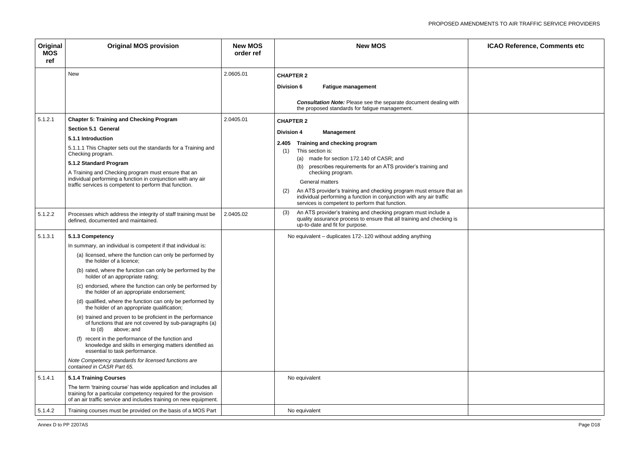| ICAO Reference, Comments etc |  |  |  |  |
|------------------------------|--|--|--|--|
|                              |  |  |  |  |
|                              |  |  |  |  |
|                              |  |  |  |  |
|                              |  |  |  |  |
|                              |  |  |  |  |
|                              |  |  |  |  |
|                              |  |  |  |  |
|                              |  |  |  |  |
|                              |  |  |  |  |
|                              |  |  |  |  |
|                              |  |  |  |  |
|                              |  |  |  |  |
|                              |  |  |  |  |
|                              |  |  |  |  |
|                              |  |  |  |  |
|                              |  |  |  |  |
|                              |  |  |  |  |
|                              |  |  |  |  |
|                              |  |  |  |  |
|                              |  |  |  |  |
|                              |  |  |  |  |
|                              |  |  |  |  |
|                              |  |  |  |  |
|                              |  |  |  |  |

| Original<br><b>MOS</b><br>ref | <b>Original MOS provision</b>                                                                                                                                                                                                                                                                                                                                                                                                                                                                                                                                                                                                                                                                                                                                                                                                                                                               | <b>New MOS</b><br>order ref | <b>New MOS</b>                                                                                                                                                                                                                                                                                                                                                                                                                                                                                            | <b>ICAO Reference, Comments etc</b> |
|-------------------------------|---------------------------------------------------------------------------------------------------------------------------------------------------------------------------------------------------------------------------------------------------------------------------------------------------------------------------------------------------------------------------------------------------------------------------------------------------------------------------------------------------------------------------------------------------------------------------------------------------------------------------------------------------------------------------------------------------------------------------------------------------------------------------------------------------------------------------------------------------------------------------------------------|-----------------------------|-----------------------------------------------------------------------------------------------------------------------------------------------------------------------------------------------------------------------------------------------------------------------------------------------------------------------------------------------------------------------------------------------------------------------------------------------------------------------------------------------------------|-------------------------------------|
|                               | New                                                                                                                                                                                                                                                                                                                                                                                                                                                                                                                                                                                                                                                                                                                                                                                                                                                                                         | 2.0605.01                   | <b>CHAPTER 2</b><br><b>Fatigue management</b><br><b>Division 6</b><br><b>Consultation Note:</b> Please see the separate document dealing with<br>the proposed standards for fatigue management.                                                                                                                                                                                                                                                                                                           |                                     |
| 5.1.2.1                       | <b>Chapter 5: Training and Checking Program</b><br>Section 5.1 General<br>5.1.1 Introduction<br>5.1.1.1 This Chapter sets out the standards for a Training and<br>Checking program.<br>5.1.2 Standard Program<br>A Training and Checking program must ensure that an<br>individual performing a function in conjunction with any air<br>traffic services is competent to perform that function.                                                                                                                                                                                                                                                                                                                                                                                                                                                                                             | 2.0405.01                   | <b>CHAPTER 2</b><br><b>Management</b><br><b>Division 4</b><br>Training and checking program<br>2.405<br>This section is:<br>(1)<br>(a) made for section 172.140 of CASR; and<br>prescribes requirements for an ATS provider's training and<br>(b)<br>checking program.<br><b>General matters</b><br>An ATS provider's training and checking program must ensure that an<br>(2)<br>individual performing a function in conjunction with any air traffic<br>services is competent to perform that function. |                                     |
| 5.1.2.2                       | Processes which address the integrity of staff training must be<br>defined, documented and maintained.                                                                                                                                                                                                                                                                                                                                                                                                                                                                                                                                                                                                                                                                                                                                                                                      | 2.0405.02                   | An ATS provider's training and checking program must include a<br>(3)<br>quality assurance process to ensure that all training and checking is<br>up-to-date and fit for purpose.                                                                                                                                                                                                                                                                                                                         |                                     |
| 5.1.3.1                       | 5.1.3 Competency<br>In summary, an individual is competent if that individual is:<br>(a) licensed, where the function can only be performed by<br>the holder of a licence;<br>(b) rated, where the function can only be performed by the<br>holder of an appropriate rating;<br>(c) endorsed, where the function can only be performed by<br>the holder of an appropriate endorsement;<br>(d) qualified, where the function can only be performed by<br>the holder of an appropriate qualification;<br>(e) trained and proven to be proficient in the performance<br>of functions that are not covered by sub-paragraphs (a)<br>above; and<br>to (d)<br>(f) recent in the performance of the function and<br>knowledge and skills in emerging matters identified as<br>essential to task performance.<br>Note Competency standards for licensed functions are<br>contained in CASR Part 65. |                             | No equivalent - duplicates 172-.120 without adding anything                                                                                                                                                                                                                                                                                                                                                                                                                                               |                                     |
| 5.1.4.1                       | <b>5.1.4 Training Courses</b><br>The term 'training course' has wide application and includes all<br>training for a particular competency required for the provision                                                                                                                                                                                                                                                                                                                                                                                                                                                                                                                                                                                                                                                                                                                        |                             | No equivalent                                                                                                                                                                                                                                                                                                                                                                                                                                                                                             |                                     |
| 5.1.4.2                       | of an air traffic service and includes training on new equipment.<br>Training courses must be provided on the basis of a MOS Part                                                                                                                                                                                                                                                                                                                                                                                                                                                                                                                                                                                                                                                                                                                                                           |                             | No equivalent                                                                                                                                                                                                                                                                                                                                                                                                                                                                                             |                                     |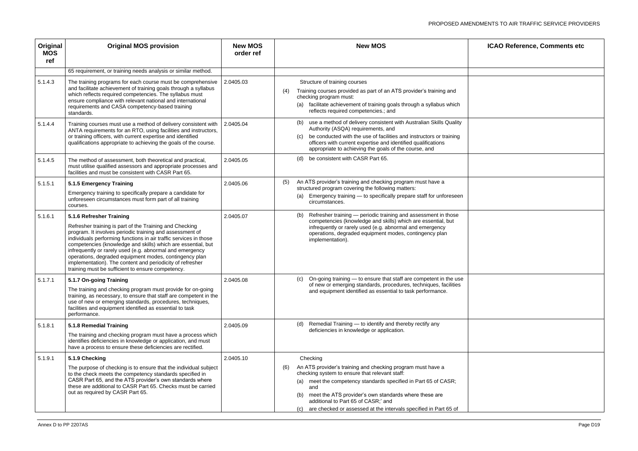| ICAO Reference, Comments etc |  |  |  |  |  |
|------------------------------|--|--|--|--|--|
|                              |  |  |  |  |  |
|                              |  |  |  |  |  |
|                              |  |  |  |  |  |
|                              |  |  |  |  |  |
|                              |  |  |  |  |  |
|                              |  |  |  |  |  |
|                              |  |  |  |  |  |
|                              |  |  |  |  |  |
|                              |  |  |  |  |  |
|                              |  |  |  |  |  |
|                              |  |  |  |  |  |
|                              |  |  |  |  |  |
|                              |  |  |  |  |  |
|                              |  |  |  |  |  |
|                              |  |  |  |  |  |
|                              |  |  |  |  |  |
|                              |  |  |  |  |  |
|                              |  |  |  |  |  |
|                              |  |  |  |  |  |
|                              |  |  |  |  |  |
|                              |  |  |  |  |  |
|                              |  |  |  |  |  |
|                              |  |  |  |  |  |
|                              |  |  |  |  |  |

| Original<br><b>MOS</b><br>ref | <b>Original MOS provision</b>                                                                                                                                                                                                                                                                                                                                                                                                                                                                                                | <b>New MOS</b><br>order ref | <b>New MOS</b>                                                                                                                                                                                                                                                                                                       | <b>ICAO Reference, Comments etc</b> |
|-------------------------------|------------------------------------------------------------------------------------------------------------------------------------------------------------------------------------------------------------------------------------------------------------------------------------------------------------------------------------------------------------------------------------------------------------------------------------------------------------------------------------------------------------------------------|-----------------------------|----------------------------------------------------------------------------------------------------------------------------------------------------------------------------------------------------------------------------------------------------------------------------------------------------------------------|-------------------------------------|
|                               | 65 requirement, or training needs analysis or similar method.                                                                                                                                                                                                                                                                                                                                                                                                                                                                |                             |                                                                                                                                                                                                                                                                                                                      |                                     |
| 5.1.4.3                       | The training programs for each course must be comprehensive<br>and facilitate achievement of training goals through a syllabus<br>which reflects required competencies. The syllabus must<br>ensure compliance with relevant national and international<br>requirements and CASA competency-based training<br>standards.                                                                                                                                                                                                     | 2.0405.03                   | Structure of training courses<br>Training courses provided as part of an ATS provider's training and<br>(4)<br>checking program must:<br>(a) facilitate achievement of training goals through a syllabus which<br>reflects required competencies.; and                                                               |                                     |
| 5.1.4.4                       | Training courses must use a method of delivery consistent with<br>ANTA requirements for an RTO, using facilities and instructors,<br>or training officers, with current expertise and identified<br>qualifications appropriate to achieving the goals of the course.                                                                                                                                                                                                                                                         | 2.0405.04                   | (b) use a method of delivery consistent with Australian Skills Quality<br>Authority (ASQA) requirements, and<br>be conducted with the use of facilities and instructors or training<br>(C)<br>officers with current expertise and identified qualifications<br>appropriate to achieving the goals of the course, and |                                     |
| 5.1.4.5                       | The method of assessment, both theoretical and practical,<br>must utilise qualified assessors and appropriate processes and<br>facilities and must be consistent with CASR Part 65.                                                                                                                                                                                                                                                                                                                                          | 2.0405.05                   | (d) be consistent with CASR Part 65.                                                                                                                                                                                                                                                                                 |                                     |
| 5.1.5.1                       | 5.1.5 Emergency Training<br>Emergency training to specifically prepare a candidate for<br>unforeseen circumstances must form part of all training<br>courses.                                                                                                                                                                                                                                                                                                                                                                | 2.0405.06                   | An ATS provider's training and checking program must have a<br>(5)<br>structured program covering the following matters:<br>Emergency training — to specifically prepare staff for unforeseen<br>(a)<br>circumstances.                                                                                               |                                     |
| 5.1.6.1                       | 5.1.6 Refresher Training<br>Refresher training is part of the Training and Checking<br>program. It involves periodic training and assessment of<br>individuals performing functions in air traffic services in those<br>competencies (knowledge and skills) which are essential, but<br>infrequently or rarely used (e.g. abnormal and emergency<br>operations, degraded equipment modes, contingency plan<br>implementation). The content and periodicity of refresher<br>training must be sufficient to ensure competency. | 2.0405.07                   | (b) Refresher training — periodic training and assessment in those<br>competencies (knowledge and skills) which are essential, but<br>infrequently or rarely used (e.g. abnormal and emergency<br>operations, degraded equipment modes, contingency plan<br>implementation).                                         |                                     |
| 5.1.7.1                       | 5.1.7 On-going Training<br>The training and checking program must provide for on-going<br>training, as necessary, to ensure that staff are competent in the<br>use of new or emerging standards, procedures, techniques,<br>facilities and equipment identified as essential to task<br>performance.                                                                                                                                                                                                                         | 2.0405.08                   | (c) On-going training — to ensure that staff are competent in the use<br>of new or emerging standards, procedures, techniques, facilities<br>and equipment identified as essential to task performance.                                                                                                              |                                     |
| 5.1.8.1                       | 5.1.8 Remedial Training<br>The training and checking program must have a process which<br>identifies deficiencies in knowledge or application, and must<br>have a process to ensure these deficiencies are rectified.                                                                                                                                                                                                                                                                                                        | 2.0405.09                   | (d) Remedial Training - to identify and thereby rectify any<br>deficiencies in knowledge or application.                                                                                                                                                                                                             |                                     |
| 5.1.9.1                       | 5.1.9 Checking<br>The purpose of checking is to ensure that the individual subject<br>to the check meets the competency standards specified in<br>CASR Part 65, and the ATS provider's own standards where<br>these are additional to CASR Part 65. Checks must be carried<br>out as required by CASR Part 65.                                                                                                                                                                                                               | 2.0405.10                   | Checking<br>An ATS provider's training and checking program must have a<br>(6)<br>checking system to ensure that relevant staff:<br>(a) meet the competency standards specified in Part 65 of CASR;<br>and<br>meet the ATS provider's own standards where these are<br>(b)<br>additional to Part 65 of CASR;' and    |                                     |
|                               |                                                                                                                                                                                                                                                                                                                                                                                                                                                                                                                              |                             | (c) are checked or assessed at the intervals specified in Part 65 of                                                                                                                                                                                                                                                 |                                     |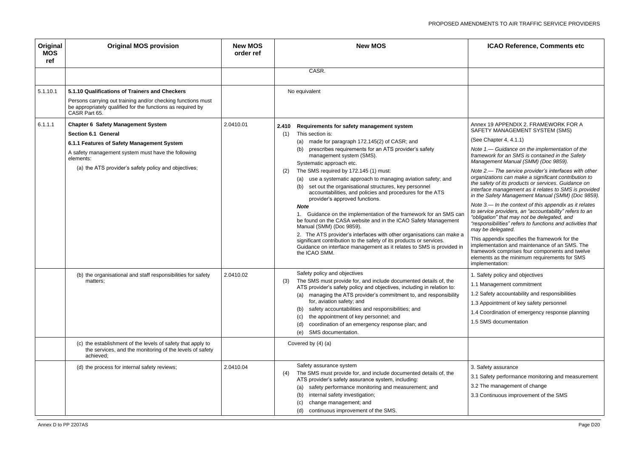| Original<br><b>MOS</b><br>ref | <b>Original MOS provision</b>                                                                                                                                                                                                                    | <b>New MOS</b><br>order ref | <b>New MOS</b>                                                                                                                                                                                                                                                                                                                                                                                                                                                                                                                                                                                                                                                                                                                                                                                                                                                                                                                                                | <b>ICAO Reference, Comments etc</b>                                                                                                                                                                                                                                                                                                                                                                                                                                                                                                                                                                                                                                                                                                                                                                                                                                                                                                                               |
|-------------------------------|--------------------------------------------------------------------------------------------------------------------------------------------------------------------------------------------------------------------------------------------------|-----------------------------|---------------------------------------------------------------------------------------------------------------------------------------------------------------------------------------------------------------------------------------------------------------------------------------------------------------------------------------------------------------------------------------------------------------------------------------------------------------------------------------------------------------------------------------------------------------------------------------------------------------------------------------------------------------------------------------------------------------------------------------------------------------------------------------------------------------------------------------------------------------------------------------------------------------------------------------------------------------|-------------------------------------------------------------------------------------------------------------------------------------------------------------------------------------------------------------------------------------------------------------------------------------------------------------------------------------------------------------------------------------------------------------------------------------------------------------------------------------------------------------------------------------------------------------------------------------------------------------------------------------------------------------------------------------------------------------------------------------------------------------------------------------------------------------------------------------------------------------------------------------------------------------------------------------------------------------------|
|                               |                                                                                                                                                                                                                                                  |                             | CASR.                                                                                                                                                                                                                                                                                                                                                                                                                                                                                                                                                                                                                                                                                                                                                                                                                                                                                                                                                         |                                                                                                                                                                                                                                                                                                                                                                                                                                                                                                                                                                                                                                                                                                                                                                                                                                                                                                                                                                   |
| 5.1.10.1                      | 5.1.10 Qualifications of Trainers and Checkers<br>Persons carrying out training and/or checking functions must<br>be appropriately qualified for the functions as required by<br>CASR Part 65.                                                   |                             | No equivalent                                                                                                                                                                                                                                                                                                                                                                                                                                                                                                                                                                                                                                                                                                                                                                                                                                                                                                                                                 |                                                                                                                                                                                                                                                                                                                                                                                                                                                                                                                                                                                                                                                                                                                                                                                                                                                                                                                                                                   |
| 6.1.1.1                       | <b>Chapter 6 Safety Management System</b><br><b>Section 6.1 General</b><br>6.1.1 Features of Safety Management System<br>A safety management system must have the following<br>elements:<br>(a) the ATS provider's safety policy and objectives; | 2.0410.01                   | Requirements for safety management system<br>2.410<br>This section is:<br>(1)<br>(a) made for paragraph 172.145(2) of CASR; and<br>(b) prescribes requirements for an ATS provider's safety<br>management system (SMS).<br>Systematic approach etc.<br>The SMS required by 172.145 (1) must:<br>(2)<br>(a) use a systematic approach to managing aviation safety; and<br>set out the organisational structures, key personnel<br>(b)<br>accountabilities, and policies and procedures for the ATS<br>provider's approved functions.<br><b>Note</b><br>1. Guidance on the implementation of the framework for an SMS can<br>be found on the CASA website and in the ICAO Safety Management<br>Manual (SMM) (Doc 9859).<br>2. The ATS provider's interfaces with other organisations can make a<br>significant contribution to the safety of its products or services.<br>Guidance on interface management as it relates to SMS is provided in<br>the ICAO SMM. | Annex 19 APPENDIX 2. FRAMEWORK FOR A<br>SAFETY MANAGEMENT SYSTEM (SMS)<br>(See Chapter 4, 4.1.1)<br>Note 1.- Guidance on the implementation of th<br>framework for an SMS is contained in the Safet<br>Management Manual (SMM) (Doc 9859).<br>Note 2.— The service provider's interfaces with<br>organizations can make a significant contributio<br>the safety of its products or services. Guidance<br>interface management as it relates to SMS is pr<br>in the Safety Management Manual (SMM) (Doc<br>Note 3.— In the context of this appendix as it re<br>to service providers, an "accountability" refers to<br>"obligation" that may not be delegated, and<br>"responsibilities" refers to functions and activitie<br>may be delegated.<br>This appendix specifies the framework for the<br>implementation and maintenance of an SMS. Th<br>framework comprises four components and twe<br>elements as the minimum requirements for SMS<br>implementation: |
|                               | (b) the organisational and staff responsibilities for safety<br>matters;<br>(c) the establishment of the levels of safety that apply to<br>the services, and the monitoring of the levels of safety                                              | 2.0410.02                   | Safety policy and objectives<br>(3)<br>The SMS must provide for, and include documented details of, the<br>ATS provider's safety policy and objectives, including in relation to:<br>(a) managing the ATS provider's commitment to, and responsibility<br>for, aviation safety; and<br>safety accountabilities and responsibilities; and<br>the appointment of key personnel; and<br>(c)<br>coordination of an emergency response plan; and<br>(d)<br>SMS documentation.<br>(e)<br>Covered by (4) (a)                                                                                                                                                                                                                                                                                                                                                                                                                                                         | . Safety policy and objectives<br>1.1 Management commitment<br>1.2 Safety accountability and responsibilities<br>1.3 Appointment of key safety personnel<br>1.4 Coordination of emergency response planni<br>1.5 SMS documentation                                                                                                                                                                                                                                                                                                                                                                                                                                                                                                                                                                                                                                                                                                                                |
|                               | achieved;<br>(d) the process for internal safety reviews;                                                                                                                                                                                        | 2.0410.04                   | Safety assurance system<br>The SMS must provide for, and include documented details of, the<br>(4)<br>ATS provider's safety assurance system, including:<br>safety performance monitoring and measurement; and<br>(a)<br>internal safety investigation;<br>(b)<br>change management; and<br>continuous improvement of the SMS.<br>(d)                                                                                                                                                                                                                                                                                                                                                                                                                                                                                                                                                                                                                         | 3. Safety assurance<br>3.1 Safety performance monitoring and measure<br>3.2 The management of change<br>3.3 Continuous improvement of the SMS                                                                                                                                                                                                                                                                                                                                                                                                                                                                                                                                                                                                                                                                                                                                                                                                                     |

| <b>ICAO Reference, Comments etc</b>                                                                                                                                                                                                                                                |
|------------------------------------------------------------------------------------------------------------------------------------------------------------------------------------------------------------------------------------------------------------------------------------|
|                                                                                                                                                                                                                                                                                    |
|                                                                                                                                                                                                                                                                                    |
| Annex 19 APPENDIX 2. FRAMEWORK FOR A<br>SAFETY MANAGEMENT SYSTEM (SMS)                                                                                                                                                                                                             |
| (See Chapter 4, 4.1.1)                                                                                                                                                                                                                                                             |
| Note 1.— Guidance on the implementation of the<br>framework for an SMS is contained in the Safety<br>Management Manual (SMM) (Doc 9859).                                                                                                                                           |
| Note 2.- The service provider's interfaces with other<br>organizations can make a significant contribution to<br>the safety of its products or services. Guidance on<br>interface management as it relates to SMS is provided<br>in the Safety Management Manual (SMM) (Doc 9859). |
| Note 3.— In the context of this appendix as it relates<br>to service providers, an "accountability" refers to an<br>"obligation" that may not be delegated, and<br>"responsibilities" refers to functions and activities that<br>may be delegated.                                 |
| This appendix specifies the framework for the<br>implementation and maintenance of an SMS. The<br>framework comprises four components and twelve<br>elements as the minimum requirements for SMS<br>implementation:                                                                |
| 1. Safety policy and objectives                                                                                                                                                                                                                                                    |
| 1.1 Management commitment                                                                                                                                                                                                                                                          |
| 1.2 Safety accountability and responsibilities                                                                                                                                                                                                                                     |
| 1.3 Appointment of key safety personnel                                                                                                                                                                                                                                            |
| 1.4 Coordination of emergency response planning                                                                                                                                                                                                                                    |
| 1.5 SMS documentation                                                                                                                                                                                                                                                              |
|                                                                                                                                                                                                                                                                                    |
| 3. Safety assurance                                                                                                                                                                                                                                                                |
| 3.1 Safety performance monitoring and measurement                                                                                                                                                                                                                                  |
| 3.2 The management of change                                                                                                                                                                                                                                                       |
| 3.3 Continuous improvement of the SMS                                                                                                                                                                                                                                              |
|                                                                                                                                                                                                                                                                                    |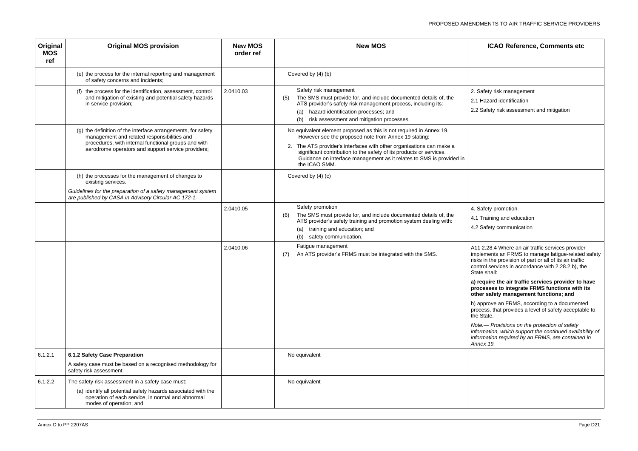| Original<br><b>MOS</b><br>ref | <b>Original MOS provision</b>                                                                                                                                                                                             | <b>New MOS</b><br>order ref | <b>New MOS</b>                                                                                                                                                                                                                                                                                                                                                      | <b>ICAO Reference, Comments etc</b>                                                                                                                                                                                               |
|-------------------------------|---------------------------------------------------------------------------------------------------------------------------------------------------------------------------------------------------------------------------|-----------------------------|---------------------------------------------------------------------------------------------------------------------------------------------------------------------------------------------------------------------------------------------------------------------------------------------------------------------------------------------------------------------|-----------------------------------------------------------------------------------------------------------------------------------------------------------------------------------------------------------------------------------|
|                               | (e) the process for the internal reporting and management<br>of safety concerns and incidents;                                                                                                                            |                             | Covered by (4) (b)                                                                                                                                                                                                                                                                                                                                                  |                                                                                                                                                                                                                                   |
|                               | (f) the process for the identification, assessment, control<br>and mitigation of existing and potential safety hazards<br>in service provision;                                                                           | 2.0410.03                   | Safety risk management<br>The SMS must provide for, and include documented details of, the<br>(5)<br>ATS provider's safety risk management process, including its:<br>(a) hazard identification processes; and<br>risk assessment and mitigation processes.                                                                                                         | 2. Safety risk management<br>2.1 Hazard identification<br>2.2 Safety risk assessment and mitigation                                                                                                                               |
|                               | (g) the definition of the interface arrangements, for safety<br>management and related responsibilities and<br>procedures, with internal functional groups and with<br>aerodrome operators and support service providers; |                             | No equivalent element proposed as this is not required in Annex 19.<br>However see the proposed note from Annex 19 stating:<br>2. The ATS provider's interfaces with other organisations can make a<br>significant contribution to the safety of its products or services.<br>Guidance on interface management as it relates to SMS is provided in<br>the ICAO SMM. |                                                                                                                                                                                                                                   |
|                               | (h) the processes for the management of changes to<br>existing services.<br>Guidelines for the preparation of a safety management system<br>are published by CASA in Advisory Circular AC 172-1.                          |                             | Covered by (4) (c)                                                                                                                                                                                                                                                                                                                                                  |                                                                                                                                                                                                                                   |
|                               |                                                                                                                                                                                                                           | 2.0410.05                   | Safety promotion<br>The SMS must provide for, and include documented details of, the<br>(6)<br>ATS provider's safety training and promotion system dealing with:<br>training and education; and<br>(a)<br>safety communication.<br>(b)                                                                                                                              | 4. Safety promotion<br>4.1 Training and education<br>4.2 Safety communication                                                                                                                                                     |
|                               |                                                                                                                                                                                                                           | 2.0410.06                   | Fatigue management<br>An ATS provider's FRMS must be integrated with the SMS.<br>(7)                                                                                                                                                                                                                                                                                | A11 2.28.4 Where an air traffic services provide<br>implements an FRMS to manage fatigue-related<br>risks in the provision of part or all of its air traffic<br>control services in accordance with 2.28.2 b), th<br>State shall: |
|                               |                                                                                                                                                                                                                           |                             |                                                                                                                                                                                                                                                                                                                                                                     | a) require the air traffic services provider to<br>processes to integrate FRMS functions with<br>other safety management functions; and                                                                                           |
|                               |                                                                                                                                                                                                                           |                             |                                                                                                                                                                                                                                                                                                                                                                     | b) approve an FRMS, according to a document<br>process, that provides a level of safety acceptat<br>the State.                                                                                                                    |
|                               |                                                                                                                                                                                                                           |                             |                                                                                                                                                                                                                                                                                                                                                                     | Note.— Provisions on the protection of safety<br>information, which support the continued availal<br>information required by an FRMS, are contained<br>Annex 19.                                                                  |
| 6.1.2.1                       | 6.1.2 Safety Case Preparation                                                                                                                                                                                             |                             | No equivalent                                                                                                                                                                                                                                                                                                                                                       |                                                                                                                                                                                                                                   |
|                               | A safety case must be based on a recognised methodology for<br>safety risk assessment.                                                                                                                                    |                             |                                                                                                                                                                                                                                                                                                                                                                     |                                                                                                                                                                                                                                   |
| 6.1.2.2                       | The safety risk assessment in a safety case must:                                                                                                                                                                         |                             | No equivalent                                                                                                                                                                                                                                                                                                                                                       |                                                                                                                                                                                                                                   |
|                               | (a) identify all potential safety hazards associated with the<br>operation of each service, in normal and abnormal<br>modes of operation; and                                                                             |                             |                                                                                                                                                                                                                                                                                                                                                                     |                                                                                                                                                                                                                                   |

| <b>ICAO Reference, Comments etc</b>                                                                                                                                                                                                        |
|--------------------------------------------------------------------------------------------------------------------------------------------------------------------------------------------------------------------------------------------|
|                                                                                                                                                                                                                                            |
| 2. Safety risk management<br>2.1 Hazard identification<br>2.2 Safety risk assessment and mitigation                                                                                                                                        |
|                                                                                                                                                                                                                                            |
|                                                                                                                                                                                                                                            |
| 4. Safety promotion                                                                                                                                                                                                                        |
| 4.1 Training and education<br>4.2 Safety communication                                                                                                                                                                                     |
| A11 2.28.4 Where an air traffic services provider<br>implements an FRMS to manage fatigue-related safety<br>risks in the provision of part or all of its air traffic<br>control services in accordance with 2.28.2 b), the<br>State shall: |
| a) require the air traffic services provider to have<br>processes to integrate FRMS functions with its<br>other safety management functions; and                                                                                           |
| b) approve an FRMS, according to a documented<br>process, that provides a level of safety acceptable to<br>the State.                                                                                                                      |
| Note.- Provisions on the protection of safety<br>information, which support the continued availability of<br>information required by an FRMS, are contained in<br>Annex 19.                                                                |
|                                                                                                                                                                                                                                            |
|                                                                                                                                                                                                                                            |
|                                                                                                                                                                                                                                            |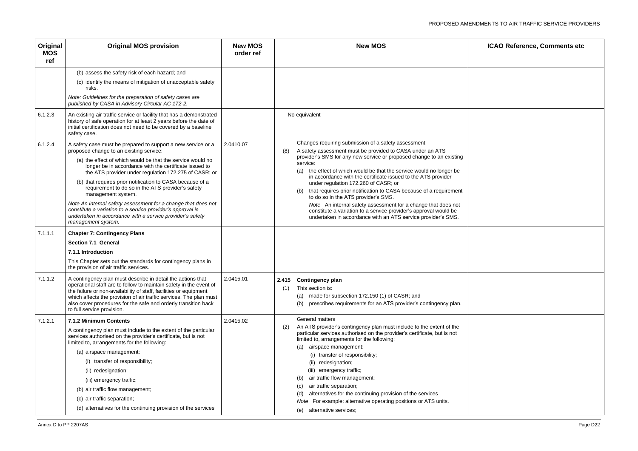| ICAO Reference, Comments etc |  |
|------------------------------|--|
|                              |  |
|                              |  |
|                              |  |
|                              |  |
|                              |  |
|                              |  |
|                              |  |
|                              |  |
|                              |  |
|                              |  |
|                              |  |
|                              |  |
|                              |  |
|                              |  |
|                              |  |
|                              |  |
|                              |  |

| Original<br><b>MOS</b><br>ref | <b>Original MOS provision</b>                                                                                                                                                                                                                                                                                                                                                                                                                                                                                                                                                                                                                      | <b>New MOS</b><br>order ref | <b>New MOS</b>                                                                                                                                                                                                                                                                                                                                                                                                                                                                                                                                                                                                                                                                                                          | <b>ICAO Reference, Comments etc</b> |
|-------------------------------|----------------------------------------------------------------------------------------------------------------------------------------------------------------------------------------------------------------------------------------------------------------------------------------------------------------------------------------------------------------------------------------------------------------------------------------------------------------------------------------------------------------------------------------------------------------------------------------------------------------------------------------------------|-----------------------------|-------------------------------------------------------------------------------------------------------------------------------------------------------------------------------------------------------------------------------------------------------------------------------------------------------------------------------------------------------------------------------------------------------------------------------------------------------------------------------------------------------------------------------------------------------------------------------------------------------------------------------------------------------------------------------------------------------------------------|-------------------------------------|
|                               | (b) assess the safety risk of each hazard; and<br>(c) identify the means of mitigation of unacceptable safety<br>risks.<br>Note: Guidelines for the preparation of safety cases are<br>published by CASA in Advisory Circular AC 172-2.                                                                                                                                                                                                                                                                                                                                                                                                            |                             |                                                                                                                                                                                                                                                                                                                                                                                                                                                                                                                                                                                                                                                                                                                         |                                     |
| 6.1.2.3                       | An existing air traffic service or facility that has a demonstrated<br>history of safe operation for at least 2 years before the date of<br>initial certification does not need to be covered by a baseline<br>safety case.                                                                                                                                                                                                                                                                                                                                                                                                                        |                             | No equivalent                                                                                                                                                                                                                                                                                                                                                                                                                                                                                                                                                                                                                                                                                                           |                                     |
| 6.1.2.4                       | A safety case must be prepared to support a new service or a<br>proposed change to an existing service:<br>(a) the effect of which would be that the service would no<br>longer be in accordance with the certificate issued to<br>the ATS provider under regulation 172.275 of CASR; or<br>(b) that requires prior notification to CASA because of a<br>requirement to do so in the ATS provider's safety<br>management system.<br>Note An internal safety assessment for a change that does not<br>constitute a variation to a service provider's approval is<br>undertaken in accordance with a service provider's safety<br>management system. | 2.0410.07                   | Changes requiring submission of a safety assessment<br>A safety assessment must be provided to CASA under an ATS<br>(8)<br>provider's SMS for any new service or proposed change to an existing<br>service:<br>the effect of which would be that the service would no longer be<br>(a)<br>in accordance with the certificate issued to the ATS provider<br>under regulation 172.260 of CASR; or<br>that requires prior notification to CASA because of a requirement<br>(b)<br>to do so in the ATS provider's SMS.<br>Note An internal safety assessment for a change that does not<br>constitute a variation to a service provider's approval would be<br>undertaken in accordance with an ATS service provider's SMS. |                                     |
| 7.1.1.1                       | <b>Chapter 7: Contingency Plans</b><br><b>Section 7.1 General</b><br>7.1.1 Introduction<br>This Chapter sets out the standards for contingency plans in<br>the provision of air traffic services.                                                                                                                                                                                                                                                                                                                                                                                                                                                  |                             |                                                                                                                                                                                                                                                                                                                                                                                                                                                                                                                                                                                                                                                                                                                         |                                     |
| 7.1.1.2                       | A contingency plan must describe in detail the actions that<br>operational staff are to follow to maintain safety in the event of<br>the failure or non-availability of staff, facilities or equipment<br>which affects the provision of air traffic services. The plan must<br>also cover procedures for the safe and orderly transition back<br>to full service provision.                                                                                                                                                                                                                                                                       | 2.0415.01                   | 2.415 Contingency plan<br>This section is:<br>(1)<br>made for subsection 172.150 (1) of CASR; and<br>(a)<br>prescribes requirements for an ATS provider's contingency plan.<br>(b)                                                                                                                                                                                                                                                                                                                                                                                                                                                                                                                                      |                                     |
| 7.1.2.1                       | 7.1.2 Minimum Contents<br>A contingency plan must include to the extent of the particular<br>services authorised on the provider's certificate, but is not<br>limited to, arrangements for the following:<br>(a) airspace management:<br>(i) transfer of responsibility;<br>(ii) redesignation;<br>(iii) emergency traffic;<br>(b) air traffic flow management;<br>(c) air traffic separation;<br>(d) alternatives for the continuing provision of the services                                                                                                                                                                                    | 2.0415.02                   | <b>General matters</b><br>An ATS provider's contingency plan must include to the extent of the<br>(2)<br>particular services authorised on the provider's certificate, but is not<br>limited to, arrangements for the following:<br>(a) airspace management:<br>(i) transfer of responsibility;<br>redesignation;<br>(ii)<br>emergency traffic;<br>(iii)<br>air traffic flow management;<br>(b)<br>air traffic separation;<br>alternatives for the continuing provision of the services<br>(d)<br>For example: alternative operating positions or ATS units.<br>Note<br>alternative services;<br>(e)                                                                                                                    |                                     |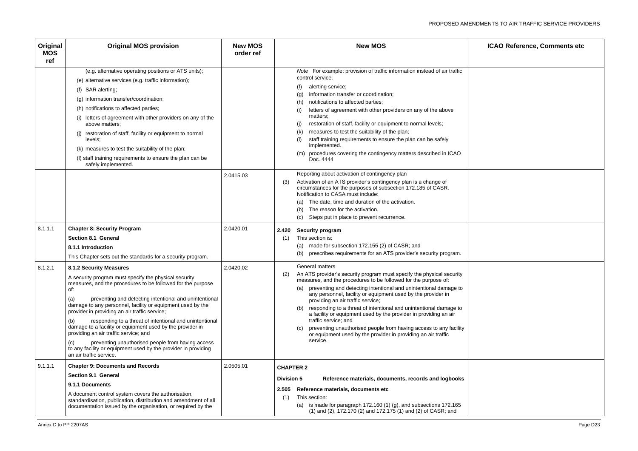| Original<br><b>MOS</b><br>ref | <b>Original MOS provision</b>                                                                                                                                                                                                                                                                                                                                                                                                                                                                                                                                                                                                                                                  | <b>New MOS</b><br>order ref | <b>New MOS</b><br><b>ICAO Reference, Comments etc</b>                                                                                                                                                                                                                                                                                                                                                                                                                                                                                                                                                                                                                         |
|-------------------------------|--------------------------------------------------------------------------------------------------------------------------------------------------------------------------------------------------------------------------------------------------------------------------------------------------------------------------------------------------------------------------------------------------------------------------------------------------------------------------------------------------------------------------------------------------------------------------------------------------------------------------------------------------------------------------------|-----------------------------|-------------------------------------------------------------------------------------------------------------------------------------------------------------------------------------------------------------------------------------------------------------------------------------------------------------------------------------------------------------------------------------------------------------------------------------------------------------------------------------------------------------------------------------------------------------------------------------------------------------------------------------------------------------------------------|
|                               | (e.g. alternative operating positions or ATS units);<br>(e) alternative services (e.g. traffic information);<br>(f) SAR alerting;<br>(g) information transfer/coordination;<br>(h) notifications to affected parties;<br>(i) letters of agreement with other providers on any of the<br>above matters;<br>restoration of staff, facility or equipment to normal<br>levels;<br>(k) measures to test the suitability of the plan;<br>(I) staff training requirements to ensure the plan can be<br>safely implemented.                                                                                                                                                            |                             | Note For example: provision of traffic information instead of air traffic<br>control service.<br>alerting service;<br>information transfer or coordination;<br>notifications to affected parties;<br>(h)<br>letters of agreement with other providers on any of the above<br>matters:<br>restoration of staff, facility or equipment to normal levels;<br>measures to test the suitability of the plan;<br>(k)<br>staff training requirements to ensure the plan can be safely<br>implemented.<br>(m) procedures covering the contingency matters described in ICAO<br>Doc. 4444                                                                                              |
|                               |                                                                                                                                                                                                                                                                                                                                                                                                                                                                                                                                                                                                                                                                                | 2.0415.03                   | Reporting about activation of contingency plan<br>Activation of an ATS provider's contingency plan is a change of<br>(3)<br>circumstances for the purposes of subsection 172.185 of CASR.<br>Notification to CASA must include:<br>The date, time and duration of the activation.<br>(a)<br>The reason for the activation.<br>Steps put in place to prevent recurrence.<br>(C)                                                                                                                                                                                                                                                                                                |
| 8.1.1.1                       | <b>Chapter 8: Security Program</b><br><b>Section 8.1 General</b><br>8.1.1 Introduction<br>This Chapter sets out the standards for a security program.                                                                                                                                                                                                                                                                                                                                                                                                                                                                                                                          | 2.0420.01                   | <b>Security program</b><br>2.420<br>This section is:<br>(1)<br>(a) made for subsection 172.155 (2) of CASR; and<br>prescribes requirements for an ATS provider's security program.<br>(b)                                                                                                                                                                                                                                                                                                                                                                                                                                                                                     |
| 8.1.2.1                       | <b>8.1.2 Security Measures</b><br>A security program must specify the physical security<br>measures, and the procedures to be followed for the purpose<br>of:<br>preventing and detecting intentional and unintentional<br>(a)<br>damage to any personnel, facility or equipment used by the<br>provider in providing an air traffic service;<br>responding to a threat of intentional and unintentional<br>(b)<br>damage to a facility or equipment used by the provider in<br>providing an air traffic service; and<br>preventing unauthorised people from having access<br>(c)<br>to any facility or equipment used by the provider in providing<br>an air traffic service. | 2.0420.02                   | <b>General matters</b><br>An ATS provider's security program must specify the physical security<br>(2)<br>measures, and the procedures to be followed for the purpose of:<br>(a) preventing and detecting intentional and unintentional damage to<br>any personnel, facility or equipment used by the provider in<br>providing an air traffic service;<br>(b) responding to a threat of intentional and unintentional damage to<br>a facility or equipment used by the provider in providing an air<br>traffic service; and<br>preventing unauthorised people from having access to any facility<br>or equipment used by the provider in providing an air traffic<br>service. |
| 9.1.1.1                       | <b>Chapter 9: Documents and Records</b><br><b>Section 9.1 General</b><br>9.1.1 Documents<br>A document control system covers the authorisation,<br>standardisation, publication, distribution and amendment of all<br>documentation issued by the organisation, or required by the                                                                                                                                                                                                                                                                                                                                                                                             | 2.0505.01                   | <b>CHAPTER 2</b><br><b>Division 5</b><br>Reference materials, documents, records and logbooks<br>2.505 Reference materials, documents etc<br>This section:<br>(1)<br>(a) is made for paragraph $172.160(1)(g)$ , and subsections 172.165<br>(1) and (2), 172.170 (2) and 172.175 (1) and (2) of CASR; and                                                                                                                                                                                                                                                                                                                                                                     |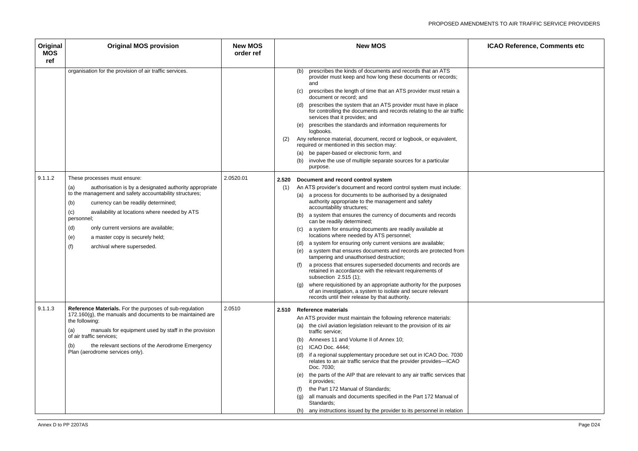| ICAO Reference, Comments etc |  |
|------------------------------|--|
|                              |  |
|                              |  |
|                              |  |
|                              |  |
|                              |  |
|                              |  |
|                              |  |
|                              |  |
|                              |  |
|                              |  |
|                              |  |
|                              |  |
|                              |  |
|                              |  |

| Original<br><b>MOS</b><br>ref | <b>Original MOS provision</b>                                                                                                                                                                                                                                                                                                                                                                              | <b>New MOS</b><br>order ref | <b>New MOS</b>                                                                                                                                                                                                                                                                                                                                                                                                                                                                                                                                                                                                                                                                                                                                                                                                                                                                                                                                                                                                                 | <b>ICAO Reference, Comments etc</b> |
|-------------------------------|------------------------------------------------------------------------------------------------------------------------------------------------------------------------------------------------------------------------------------------------------------------------------------------------------------------------------------------------------------------------------------------------------------|-----------------------------|--------------------------------------------------------------------------------------------------------------------------------------------------------------------------------------------------------------------------------------------------------------------------------------------------------------------------------------------------------------------------------------------------------------------------------------------------------------------------------------------------------------------------------------------------------------------------------------------------------------------------------------------------------------------------------------------------------------------------------------------------------------------------------------------------------------------------------------------------------------------------------------------------------------------------------------------------------------------------------------------------------------------------------|-------------------------------------|
|                               | organisation for the provision of air traffic services.                                                                                                                                                                                                                                                                                                                                                    |                             | prescribes the kinds of documents and records that an ATS<br>(b)<br>provider must keep and how long these documents or records;<br>and<br>prescribes the length of time that an ATS provider must retain a<br>document or record; and<br>(d) prescribes the system that an ATS provider must have in place<br>for controlling the documents and records relating to the air traffic<br>services that it provides; and<br>prescribes the standards and information requirements for<br>(e)<br>logbooks.<br>Any reference material, document, record or logbook, or equivalent,<br>(2)<br>required or mentioned in this section may:<br>(a) be paper-based or electronic form, and<br>involve the use of multiple separate sources for a particular<br>(b)<br>purpose.                                                                                                                                                                                                                                                           |                                     |
| 9.1.1.2                       | These processes must ensure:<br>authorisation is by a designated authority appropriate<br>(a)<br>to the management and safety accountability structures;<br>(b)<br>currency can be readily determined;<br>availability at locations where needed by ATS<br>(c)<br>personnel;<br>(d)<br>only current versions are available;<br>(e)<br>a master copy is securely held;<br>(f)<br>archival where superseded. | 2.0520.01                   | 2.520<br>Document and record control system<br>An ATS provider's document and record control system must include:<br>(1)<br>(a) a process for documents to be authorised by a designated<br>authority appropriate to the management and safety<br>accountability structures;<br>a system that ensures the currency of documents and records<br>(b)<br>can be readily determined;<br>a system for ensuring documents are readily available at<br>locations where needed by ATS personnel;<br>(d) a system for ensuring only current versions are available;<br>a system that ensures documents and records are protected from<br>(e)<br>tampering and unauthorised destruction;<br>a process that ensures superseded documents and records are<br>retained in accordance with the relevant requirements of<br>subsection $2.515(1)$ ;<br>(g) where requisitioned by an appropriate authority for the purposes<br>of an investigation, a system to isolate and secure relevant<br>records until their release by that authority. |                                     |
| 9.1.1.3                       | Reference Materials. For the purposes of sub-regulation<br>$172.160(g)$ , the manuals and documents to be maintained are<br>the following:<br>manuals for equipment used by staff in the provision<br>(a)<br>of air traffic services;<br>the relevant sections of the Aerodrome Emergency<br>(b)<br>Plan (aerodrome services only).                                                                        | 2.0510                      | 2.510 Reference materials<br>An ATS provider must maintain the following reference materials:<br>(a) the civil aviation legislation relevant to the provision of its air<br>traffic service;<br>Annexes 11 and Volume II of Annex 10;<br>(b)<br>ICAO Doc. 4444;<br>if a regional supplementary procedure set out in ICAO Doc. 7030<br>(d)<br>relates to an air traffic service that the provider provides-ICAO<br>Doc. 7030;<br>(e) the parts of the AIP that are relevant to any air traffic services that<br>it provides;<br>the Part 172 Manual of Standards;<br>all manuals and documents specified in the Part 172 Manual of<br>(q)<br>Standards;<br>(h) any instructions issued by the provider to its personnel in relation                                                                                                                                                                                                                                                                                             |                                     |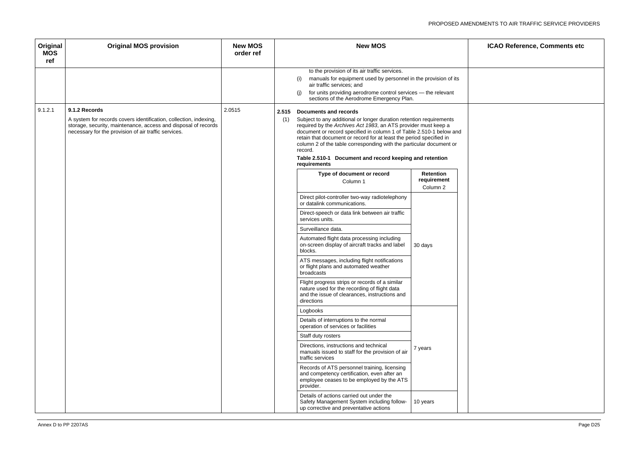| ICAO Reference, Comments etc |
|------------------------------|
|                              |
|                              |
|                              |
|                              |
|                              |
|                              |
|                              |
|                              |
|                              |
|                              |
|                              |
|                              |
|                              |
|                              |
|                              |
|                              |
|                              |
|                              |
|                              |
|                              |
|                              |
|                              |
|                              |

| Original<br><b>MOS</b><br>ref | <b>Original MOS provision</b>                                                                                                                                                               | <b>New MOS</b><br>order ref |     | <b>New MOS</b>                                                                                                                                                                                                                                                                                                                                                                                                                                   |                         | <b>ICAO Reference, Comments etc</b> |
|-------------------------------|---------------------------------------------------------------------------------------------------------------------------------------------------------------------------------------------|-----------------------------|-----|--------------------------------------------------------------------------------------------------------------------------------------------------------------------------------------------------------------------------------------------------------------------------------------------------------------------------------------------------------------------------------------------------------------------------------------------------|-------------------------|-------------------------------------|
|                               |                                                                                                                                                                                             |                             |     | to the provision of its air traffic services.                                                                                                                                                                                                                                                                                                                                                                                                    |                         |                                     |
|                               |                                                                                                                                                                                             |                             |     | manuals for equipment used by personnel in the provision of its<br>(i)<br>air traffic services; and                                                                                                                                                                                                                                                                                                                                              |                         |                                     |
|                               |                                                                                                                                                                                             |                             |     | (i)<br>for units providing aerodrome control services - the relevant<br>sections of the Aerodrome Emergency Plan.                                                                                                                                                                                                                                                                                                                                |                         |                                     |
| 9.1.2.1                       | 9.1.2 Records                                                                                                                                                                               | 2.0515                      |     | 2.515 Documents and records                                                                                                                                                                                                                                                                                                                                                                                                                      |                         |                                     |
|                               | A system for records covers identification, collection, indexing,<br>storage, security, maintenance, access and disposal of records<br>necessary for the provision of air traffic services. |                             | (1) | Subject to any additional or longer duration retention requirements<br>required by the Archives Act 1983, an ATS provider must keep a<br>document or record specified in column 1 of Table 2.510-1 below and<br>retain that document or record for at least the period specified in<br>column 2 of the table corresponding with the particular document or<br>record.<br>Table 2.510-1 Document and record keeping and retention<br>requirements |                         |                                     |
|                               |                                                                                                                                                                                             |                             |     | Type of document or record                                                                                                                                                                                                                                                                                                                                                                                                                       | Retention               |                                     |
|                               |                                                                                                                                                                                             |                             |     | Column 1                                                                                                                                                                                                                                                                                                                                                                                                                                         | requirement<br>Column 2 |                                     |
|                               |                                                                                                                                                                                             |                             |     | Direct pilot-controller two-way radiotelephony<br>or datalink communications.                                                                                                                                                                                                                                                                                                                                                                    |                         |                                     |
|                               |                                                                                                                                                                                             |                             |     | Direct-speech or data link between air traffic<br>services units.                                                                                                                                                                                                                                                                                                                                                                                |                         |                                     |
|                               |                                                                                                                                                                                             |                             |     | Surveillance data.                                                                                                                                                                                                                                                                                                                                                                                                                               |                         |                                     |
|                               |                                                                                                                                                                                             |                             |     | Automated flight data processing including<br>on-screen display of aircraft tracks and label<br>blocks.                                                                                                                                                                                                                                                                                                                                          | 30 days                 |                                     |
|                               |                                                                                                                                                                                             |                             |     | ATS messages, including flight notifications<br>or flight plans and automated weather<br>broadcasts                                                                                                                                                                                                                                                                                                                                              |                         |                                     |
|                               |                                                                                                                                                                                             |                             |     | Flight progress strips or records of a similar<br>nature used for the recording of flight data<br>and the issue of clearances, instructions and<br>directions                                                                                                                                                                                                                                                                                    |                         |                                     |
|                               |                                                                                                                                                                                             |                             |     | Logbooks                                                                                                                                                                                                                                                                                                                                                                                                                                         |                         |                                     |
|                               |                                                                                                                                                                                             |                             |     | Details of interruptions to the normal<br>operation of services or facilities                                                                                                                                                                                                                                                                                                                                                                    |                         |                                     |
|                               |                                                                                                                                                                                             |                             |     | Staff duty rosters                                                                                                                                                                                                                                                                                                                                                                                                                               |                         |                                     |
|                               |                                                                                                                                                                                             |                             |     | Directions, instructions and technical<br>manuals issued to staff for the provision of air<br>traffic services                                                                                                                                                                                                                                                                                                                                   | 7 years                 |                                     |
|                               |                                                                                                                                                                                             |                             |     | Records of ATS personnel training, licensing<br>and competency certification, even after an<br>employee ceases to be employed by the ATS<br>provider.                                                                                                                                                                                                                                                                                            |                         |                                     |
|                               |                                                                                                                                                                                             |                             |     | Details of actions carried out under the<br>Safety Management System including follow-<br>up corrective and preventative actions                                                                                                                                                                                                                                                                                                                 | 10 years                |                                     |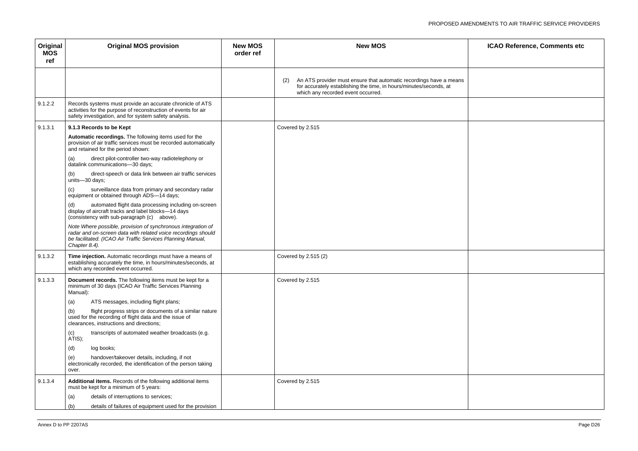| ICAO Reference, Comments etc |
|------------------------------|
|                              |
|                              |
|                              |
|                              |
|                              |
|                              |
|                              |
|                              |
|                              |
|                              |
|                              |
|                              |
|                              |
|                              |

| Original<br><b>MOS</b><br>ref | <b>Original MOS provision</b>                                                                                                                                                                                 | <b>New MOS</b><br>order ref | <b>New MOS</b>                                                                                                                                                                        | <b>ICAO Reference, Comments etc</b> |
|-------------------------------|---------------------------------------------------------------------------------------------------------------------------------------------------------------------------------------------------------------|-----------------------------|---------------------------------------------------------------------------------------------------------------------------------------------------------------------------------------|-------------------------------------|
|                               |                                                                                                                                                                                                               |                             | An ATS provider must ensure that automatic recordings have a means<br>(2)<br>for accurately establishing the time, in hours/minutes/seconds, at<br>which any recorded event occurred. |                                     |
| 9.1.2.2                       | Records systems must provide an accurate chronicle of ATS<br>activities for the purpose of reconstruction of events for air<br>safety investigation, and for system safety analysis.                          |                             |                                                                                                                                                                                       |                                     |
| 9.1.3.1                       | 9.1.3 Records to be Kept                                                                                                                                                                                      |                             | Covered by 2.515                                                                                                                                                                      |                                     |
|                               | Automatic recordings. The following items used for the<br>provision of air traffic services must be recorded automatically<br>and retained for the period shown:                                              |                             |                                                                                                                                                                                       |                                     |
|                               | direct pilot-controller two-way radiotelephony or<br>(a)<br>datalink communications-30 days;                                                                                                                  |                             |                                                                                                                                                                                       |                                     |
|                               | direct-speech or data link between air traffic services<br>(b)<br>units-30 days;                                                                                                                              |                             |                                                                                                                                                                                       |                                     |
|                               | surveillance data from primary and secondary radar<br>(c)<br>equipment or obtained through ADS-14 days;                                                                                                       |                             |                                                                                                                                                                                       |                                     |
|                               | automated flight data processing including on-screen<br>(d)<br>display of aircraft tracks and label blocks-14 days<br>(consistency with sub-paragraph (c) above).                                             |                             |                                                                                                                                                                                       |                                     |
|                               | Note Where possible, provision of synchronous integration of<br>radar and on-screen data with related voice recordings should<br>be facilitated. (ICAO Air Traffic Services Planning Manual,<br>Chapter 8.4). |                             |                                                                                                                                                                                       |                                     |
| 9.1.3.2                       | Time injection. Automatic recordings must have a means of<br>establishing accurately the time, in hours/minutes/seconds, at<br>which any recorded event occurred.                                             |                             | Covered by 2.515 (2)                                                                                                                                                                  |                                     |
| 9.1.3.3                       | Document records. The following items must be kept for a<br>minimum of 30 days (ICAO Air Traffic Services Planning<br>Manual):                                                                                |                             | Covered by 2.515                                                                                                                                                                      |                                     |
|                               | ATS messages, including flight plans;<br>(a)                                                                                                                                                                  |                             |                                                                                                                                                                                       |                                     |
|                               | flight progress strips or documents of a similar nature<br>(b)<br>used for the recording of flight data and the issue of<br>clearances, instructions and directions;                                          |                             |                                                                                                                                                                                       |                                     |
|                               | transcripts of automated weather broadcasts (e.g.<br>(c)<br>ATIS);                                                                                                                                            |                             |                                                                                                                                                                                       |                                     |
|                               | log books;<br>(d)                                                                                                                                                                                             |                             |                                                                                                                                                                                       |                                     |
|                               | handover/takeover details, including, if not<br>(e)<br>electronically recorded, the identification of the person taking<br>over.                                                                              |                             |                                                                                                                                                                                       |                                     |
| 9.1.3.4                       | Additional items. Records of the following additional items<br>must be kept for a minimum of 5 years:                                                                                                         |                             | Covered by 2.515                                                                                                                                                                      |                                     |
|                               | details of interruptions to services;<br>(a)                                                                                                                                                                  |                             |                                                                                                                                                                                       |                                     |
|                               | details of failures of equipment used for the provision<br>(b)                                                                                                                                                |                             |                                                                                                                                                                                       |                                     |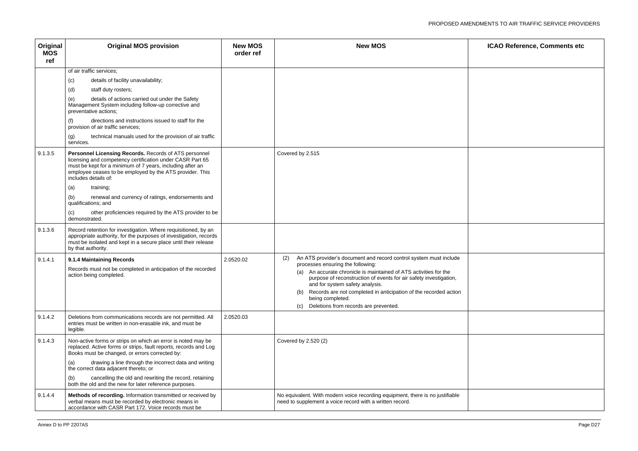| ICAO Reference, Comments etc |
|------------------------------|
|                              |
|                              |
|                              |
|                              |
|                              |
|                              |
|                              |
|                              |
|                              |
|                              |
|                              |
|                              |
|                              |
|                              |

| Original<br><b>MOS</b><br>ref | <b>Original MOS provision</b>                                                                                                                                                                                                                                                                                                                                                                                                                                                               | <b>New MOS</b><br>order ref | <b>New MOS</b>                                                                                                                                                                                                                                                                                                                                                                                                                            | <b>ICAO Reference, Comments etc</b> |
|-------------------------------|---------------------------------------------------------------------------------------------------------------------------------------------------------------------------------------------------------------------------------------------------------------------------------------------------------------------------------------------------------------------------------------------------------------------------------------------------------------------------------------------|-----------------------------|-------------------------------------------------------------------------------------------------------------------------------------------------------------------------------------------------------------------------------------------------------------------------------------------------------------------------------------------------------------------------------------------------------------------------------------------|-------------------------------------|
| 9.1.3.5                       | of air traffic services;<br>details of facility unavailability;<br>(c)<br>(d)<br>staff duty rosters;<br>details of actions carried out under the Safety<br>(e)<br>Management System including follow-up corrective and<br>preventative actions;<br>directions and instructions issued to staff for the<br>(f)<br>provision of air traffic services;<br>technical manuals used for the provision of air traffic<br>(g)<br>services.<br>Personnel Licensing Records. Records of ATS personnel |                             | Covered by 2.515                                                                                                                                                                                                                                                                                                                                                                                                                          |                                     |
|                               | licensing and competency certification under CASR Part 65<br>must be kept for a minimum of 7 years, including after an<br>employee ceases to be employed by the ATS provider. This<br>includes details of:<br>(a)<br>training;<br>renewal and currency of ratings, endorsements and<br>(b)<br>qualifications; and<br>other proficiencies required by the ATS provider to be<br>(c)<br>demonstrated.                                                                                         |                             |                                                                                                                                                                                                                                                                                                                                                                                                                                           |                                     |
| 9.1.3.6                       | Record retention for investigation. Where requisitioned, by an<br>appropriate authority, for the purposes of investigation, records<br>must be isolated and kept in a secure place until their release<br>by that authority.                                                                                                                                                                                                                                                                |                             |                                                                                                                                                                                                                                                                                                                                                                                                                                           |                                     |
| 9.1.4.1                       | 9.1.4 Maintaining Records<br>Records must not be completed in anticipation of the recorded<br>action being completed.                                                                                                                                                                                                                                                                                                                                                                       | 2.0520.02                   | An ATS provider's document and record control system must include<br>(2)<br>processes ensuring the following:<br>(a) An accurate chronicle is maintained of ATS activities for the<br>purpose of reconstruction of events for air safety investigation,<br>and for system safety analysis.<br>Records are not completed in anticipation of the recorded action<br>(b)<br>being completed.<br>Deletions from records are prevented.<br>(C) |                                     |
| 9.1.4.2                       | Deletions from communications records are not permitted. All<br>entries must be written in non-erasable ink, and must be<br>legible.                                                                                                                                                                                                                                                                                                                                                        | 2.0520.03                   |                                                                                                                                                                                                                                                                                                                                                                                                                                           |                                     |
| 9.1.4.3                       | Non-active forms or strips on which an error is noted may be<br>replaced. Active forms or strips, fault reports, records and Log<br>Books must be changed, or errors corrected by:<br>drawing a line through the incorrect data and writing<br>(a)<br>the correct data adjacent thereto; or<br>cancelling the old and rewriting the record, retaining<br>(b)<br>both the old and the new for later reference purposes.                                                                      |                             | Covered by 2.520 (2)                                                                                                                                                                                                                                                                                                                                                                                                                      |                                     |
| 9.1.4.4                       | Methods of recording. Information transmitted or received by<br>verbal means must be recorded by electronic means in<br>accordance with CASR Part 172. Voice records must be                                                                                                                                                                                                                                                                                                                |                             | No equivalent. With modern voice recording equipment, there is no justifiable<br>need to supplement a voice record with a written record.                                                                                                                                                                                                                                                                                                 |                                     |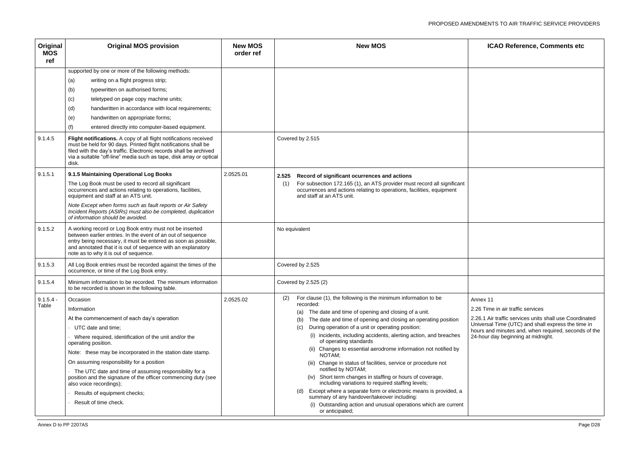| Original<br><b>MOS</b><br>ref | <b>Original MOS provision</b>                                                                                                                                                                                                                                                                     | <b>New MOS</b><br>order ref | <b>New MOS</b>                                                                                                                                                                       | <b>ICAO Reference, Comments etc</b>                                                             |
|-------------------------------|---------------------------------------------------------------------------------------------------------------------------------------------------------------------------------------------------------------------------------------------------------------------------------------------------|-----------------------------|--------------------------------------------------------------------------------------------------------------------------------------------------------------------------------------|-------------------------------------------------------------------------------------------------|
|                               | supported by one or more of the following methods:                                                                                                                                                                                                                                                |                             |                                                                                                                                                                                      |                                                                                                 |
|                               | (a)<br>writing on a flight progress strip;                                                                                                                                                                                                                                                        |                             |                                                                                                                                                                                      |                                                                                                 |
|                               | (b)<br>typewritten on authorised forms;                                                                                                                                                                                                                                                           |                             |                                                                                                                                                                                      |                                                                                                 |
|                               | (c)<br>teletyped on page copy machine units;                                                                                                                                                                                                                                                      |                             |                                                                                                                                                                                      |                                                                                                 |
|                               | handwritten in accordance with local requirements;<br>(d)                                                                                                                                                                                                                                         |                             |                                                                                                                                                                                      |                                                                                                 |
|                               | (e)<br>handwritten on appropriate forms;                                                                                                                                                                                                                                                          |                             |                                                                                                                                                                                      |                                                                                                 |
|                               | entered directly into computer-based equipment.<br>(f)                                                                                                                                                                                                                                            |                             |                                                                                                                                                                                      |                                                                                                 |
| 9.1.4.5                       | Flight notifications. A copy of all flight notifications received<br>must be held for 90 days. Printed flight notifications shall be<br>filed with the day's traffic. Electronic records shall be archived<br>via a suitable "off-line" media such as tape, disk array or optical<br>disk.        |                             | Covered by 2.515                                                                                                                                                                     |                                                                                                 |
| 9.1.5.1                       | 9.1.5 Maintaining Operational Log Books                                                                                                                                                                                                                                                           | 2.0525.01                   | Record of significant ocurrences and actions<br>2.525                                                                                                                                |                                                                                                 |
|                               | The Log Book must be used to record all significant<br>occurrences and actions relating to operations, facilities,<br>equipment and staff at an ATS unit.                                                                                                                                         |                             | For subsection 172.165 (1), an ATS provider must record all significant<br>(1)<br>occurrences and actions relating to operations, facilities, equipment<br>and staff at an ATS unit. |                                                                                                 |
|                               | Note Except when forms such as fault reports or Air Safety<br>Incident Reports (ASIRs) must also be completed, duplication<br>of information should be avoided.                                                                                                                                   |                             |                                                                                                                                                                                      |                                                                                                 |
| 9.1.5.2                       | A working record or Log Book entry must not be inserted<br>between earlier entries. In the event of an out of sequence<br>entry being necessary, it must be entered as soon as possible,<br>and annotated that it is out of sequence with an explanatory<br>note as to why it is out of sequence. |                             | No equivalent                                                                                                                                                                        |                                                                                                 |
| 9.1.5.3                       | All Log Book entries must be recorded against the times of the<br>occurrence, or time of the Log Book entry.                                                                                                                                                                                      |                             | Covered by 2.525                                                                                                                                                                     |                                                                                                 |
| 9.1.5.4                       | Minimum information to be recorded. The minimum information<br>to be recorded is shown in the following table.                                                                                                                                                                                    |                             | Covered by 2.525 (2)                                                                                                                                                                 |                                                                                                 |
| $9.1.5.4 -$                   | Occasion                                                                                                                                                                                                                                                                                          | 2.0525.02                   | For clause (1), the following is the minimum information to be<br>(2)                                                                                                                | Annex 11                                                                                        |
| Table                         | Information                                                                                                                                                                                                                                                                                       |                             | recorded:<br>The date and time of opening and closing of a unit.<br>(a)                                                                                                              | 2.26 Time in air traffic services                                                               |
|                               | At the commencement of each day's operation                                                                                                                                                                                                                                                       |                             | The date and time of opening and closing an operating position<br>(b)                                                                                                                | 2.26.1 Air traffic services units shall use Coordir                                             |
|                               | UTC date and time;                                                                                                                                                                                                                                                                                |                             | During operation of a unit or operating position:<br>(C)                                                                                                                             | Universal Time (UTC) and shall express the tim<br>hours and minutes and, when required, seconds |
|                               | Where required, identification of the unit and/or the<br>operating position.                                                                                                                                                                                                                      |                             | (i) incidents, including accidents, alerting action, and breaches<br>of operating standards                                                                                          | 24-hour day beginning at midnight.                                                              |
|                               | Note: these may be incorporated in the station date stamp.                                                                                                                                                                                                                                        |                             | (ii) Changes to essential aerodrome information not notified by<br>NOTAM;                                                                                                            |                                                                                                 |
|                               | On assuming responsibility for a position                                                                                                                                                                                                                                                         |                             | (iii) Change in status of facilities, service or procedure not                                                                                                                       |                                                                                                 |
|                               | The UTC date and time of assuming responsibility for a<br>position and the signature of the officer commencing duty (see                                                                                                                                                                          |                             | notified by NOTAM;<br>(iv) Short term changes in staffing or hours of coverage,                                                                                                      |                                                                                                 |
|                               | also voice recordings);                                                                                                                                                                                                                                                                           |                             | including variations to required staffing levels;<br>Except where a separate form or electronic means is provided, a<br>(d)                                                          |                                                                                                 |
|                               | Results of equipment checks;                                                                                                                                                                                                                                                                      |                             | summary of any handover/takeover including:                                                                                                                                          |                                                                                                 |
|                               | Result of time check.                                                                                                                                                                                                                                                                             |                             | (i) Outstanding action and unusual operations which are current<br>or anticipated;                                                                                                   |                                                                                                 |

| ICAO Reference, Comments etc                                                                                                                                                                                                                                 |
|--------------------------------------------------------------------------------------------------------------------------------------------------------------------------------------------------------------------------------------------------------------|
|                                                                                                                                                                                                                                                              |
|                                                                                                                                                                                                                                                              |
|                                                                                                                                                                                                                                                              |
|                                                                                                                                                                                                                                                              |
|                                                                                                                                                                                                                                                              |
|                                                                                                                                                                                                                                                              |
|                                                                                                                                                                                                                                                              |
|                                                                                                                                                                                                                                                              |
| Annex 11<br>2.26 Time in air traffic services<br>2.26.1 Air traffic services units shall use Coordinated<br>Universal Time (UTC) and shall express the time in<br>hours and minutes and, when required, seconds of the<br>24-hour day beginning at midnight. |
|                                                                                                                                                                                                                                                              |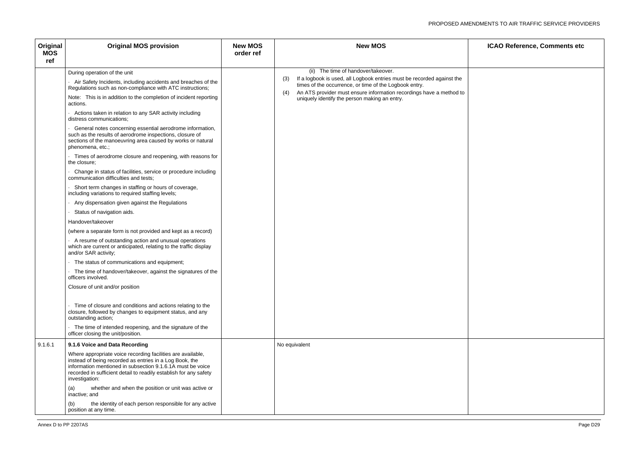| Original<br><b>MOS</b><br>ref | <b>Original MOS provision</b>                                                                                                                                                                                                                                                                                                                                                                                                                                                                                                                                                                                                                                                                                                                                                                                                                                                                                                                                                                                                                                                                                                                                                                                                                                                                                                                                                                                                                                                                             | <b>New MOS</b><br>order ref | <b>New MOS</b>                                                                                                                                                                                                                                                                                                |  |
|-------------------------------|-----------------------------------------------------------------------------------------------------------------------------------------------------------------------------------------------------------------------------------------------------------------------------------------------------------------------------------------------------------------------------------------------------------------------------------------------------------------------------------------------------------------------------------------------------------------------------------------------------------------------------------------------------------------------------------------------------------------------------------------------------------------------------------------------------------------------------------------------------------------------------------------------------------------------------------------------------------------------------------------------------------------------------------------------------------------------------------------------------------------------------------------------------------------------------------------------------------------------------------------------------------------------------------------------------------------------------------------------------------------------------------------------------------------------------------------------------------------------------------------------------------|-----------------------------|---------------------------------------------------------------------------------------------------------------------------------------------------------------------------------------------------------------------------------------------------------------------------------------------------------------|--|
|                               | During operation of the unit<br>Air Safety Incidents, including accidents and breaches of the<br>Regulations such as non-compliance with ATC instructions;<br>Note: This is in addition to the completion of incident reporting<br>actions.<br>Actions taken in relation to any SAR activity including<br>distress communications;<br>General notes concerning essential aerodrome information,<br>such as the results of aerodrome inspections, closure of<br>sections of the manoeuvring area caused by works or natural<br>phenomena, etc.;<br>Times of aerodrome closure and reopening, with reasons for<br>the closure;<br>Change in status of facilities, service or procedure including<br>communication difficulties and tests;<br>Short term changes in staffing or hours of coverage,<br>including variations to required staffing levels;<br>Any dispensation given against the Regulations<br>Status of navigation aids.<br>Handover/takeover<br>(where a separate form is not provided and kept as a record)<br>A resume of outstanding action and unusual operations<br>which are current or anticipated, relating to the traffic display<br>and/or SAR activity;<br>The status of communications and equipment;<br>The time of handover/takeover, against the signatures of the<br>officers involved.<br>Closure of unit and/or position<br>Time of closure and conditions and actions relating to the<br>closure, followed by changes to equipment status, and any<br>outstanding action; |                             | (ii) The time of handover/takeover.<br>If a logbook is used, all Logbook entries must be recorded against the<br>(3)<br>times of the occurrence, or time of the Logbook entry.<br>An ATS provider must ensure information recordings have a method to<br>(4)<br>uniquely identify the person making an entry. |  |
|                               | The time of intended reopening, and the signature of the<br>officer closing the unit/position.                                                                                                                                                                                                                                                                                                                                                                                                                                                                                                                                                                                                                                                                                                                                                                                                                                                                                                                                                                                                                                                                                                                                                                                                                                                                                                                                                                                                            |                             |                                                                                                                                                                                                                                                                                                               |  |
| 9.1.6.1                       | 9.1.6 Voice and Data Recording<br>Where appropriate voice recording facilities are available,<br>instead of being recorded as entries in a Log Book, the<br>information mentioned in subsection 9.1.6.1A must be voice<br>recorded in sufficient detail to readily establish for any safety<br>investigation:<br>whether and when the position or unit was active or<br>(a)<br>inactive; and<br>the identity of each person responsible for any active<br>(b)<br>position at any time.                                                                                                                                                                                                                                                                                                                                                                                                                                                                                                                                                                                                                                                                                                                                                                                                                                                                                                                                                                                                                    |                             | No equivalent                                                                                                                                                                                                                                                                                                 |  |